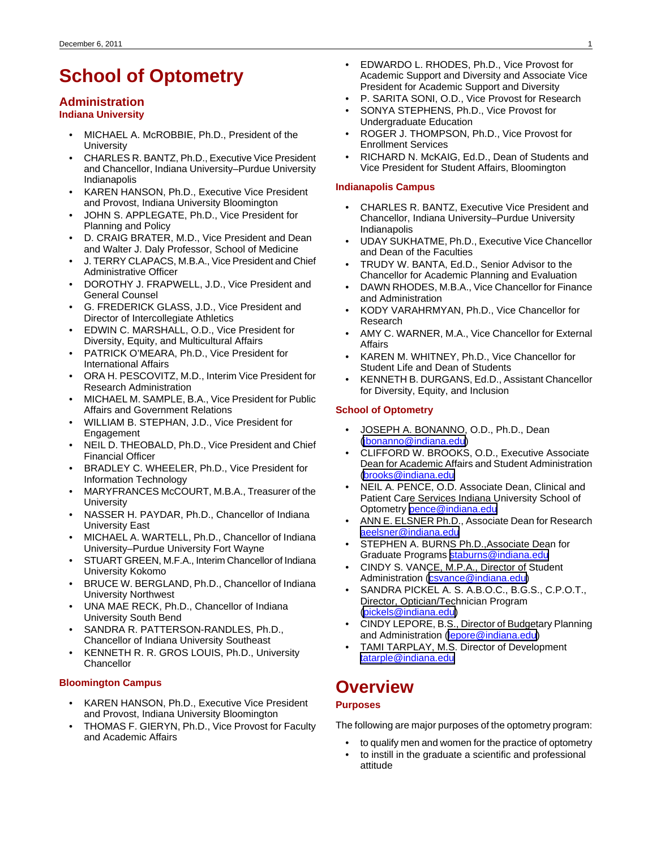# **School of Optometry**

# **Administration**

### **Indiana University**

- MICHAEL A. McROBBIE, Ph.D., President of the **University**
- CHARLES R. BANTZ, Ph.D., Executive Vice President and Chancellor, Indiana University–Purdue University Indianapolis
- KAREN HANSON, Ph.D., Executive Vice President and Provost, Indiana University Bloomington
- JOHN S. APPLEGATE, Ph.D., Vice President for Planning and Policy
- D. CRAIG BRATER, M.D., Vice President and Dean and Walter J. Daly Professor, School of Medicine
- J. TERRY CLAPACS, M.B.A., Vice President and Chief Administrative Officer
- DOROTHY J. FRAPWELL, J.D., Vice President and General Counsel
- G. FREDERICK GLASS, J.D., Vice President and Director of Intercollegiate Athletics
- EDWIN C. MARSHALL, O.D., Vice President for Diversity, Equity, and Multicultural Affairs
- PATRICK O'MEARA, Ph.D., Vice President for International Affairs
- ORA H. PESCOVITZ, M.D., Interim Vice President for Research Administration
- MICHAEL M. SAMPLE, B.A., Vice President for Public Affairs and Government Relations
- WILLIAM B. STEPHAN, J.D., Vice President for Engagement
- NEIL D. THEOBALD, Ph.D., Vice President and Chief Financial Officer
- BRADLEY C. WHEELER, Ph.D., Vice President for Information Technology
- MARYFRANCES McCOURT, M.B.A., Treasurer of the **University**
- NASSER H. PAYDAR, Ph.D., Chancellor of Indiana University East
- MICHAEL A. WARTELL, Ph.D., Chancellor of Indiana University–Purdue University Fort Wayne
- STUART GREEN, M.F.A., Interim Chancellor of Indiana University Kokomo
- BRUCE W. BERGLAND, Ph.D., Chancellor of Indiana University Northwest
- UNA MAE RECK, Ph.D., Chancellor of Indiana University South Bend
- SANDRA R. PATTERSON-RANDLES, Ph.D., Chancellor of Indiana University Southeast
- KENNETH R. R. GROS LOUIS, Ph.D., University **Chancellor**

### **Bloomington Campus**

- KAREN HANSON, Ph.D., Executive Vice President and Provost, Indiana University Bloomington
- THOMAS F. GIERYN, Ph.D., Vice Provost for Faculty and Academic Affairs
- EDWARDO L. RHODES, Ph.D., Vice Provost for Academic Support and Diversity and Associate Vice President for Academic Support and Diversity
- P. SARITA SONI, O.D., Vice Provost for Research
- SONYA STEPHENS, Ph.D., Vice Provost for Undergraduate Education
- ROGER J. THOMPSON, Ph.D., Vice Provost for Enrollment Services
- RICHARD N. McKAIG, Ed.D., Dean of Students and Vice President for Student Affairs, Bloomington

### **Indianapolis Campus**

- CHARLES R. BANTZ, Executive Vice President and Chancellor, Indiana University–Purdue University Indianapolis
- UDAY SUKHATME, Ph.D., Executive Vice Chancellor and Dean of the Faculties
- TRUDY W. BANTA, Ed.D., Senior Advisor to the Chancellor for Academic Planning and Evaluation
- DAWN RHODES, M.B.A., Vice Chancellor for Finance and Administration
- KODY VARAHRMYAN, Ph.D., Vice Chancellor for Research
- AMY C. WARNER, M.A., Vice Chancellor for External Affairs
- KAREN M. WHITNEY, Ph.D., Vice Chancellor for Student Life and Dean of Students
- KENNETH B. DURGANS, Ed.D., Assistant Chancellor for Diversity, Equity, and Inclusion

### **School of Optometry**

- JOSEPH A. BONANNO, O.D., Ph.D., Dean [\(jbonanno@indiana.edu](mailto:jbonanno@indiana.edu))
- CLIFFORD W. BROOKS, O.D., Executive Associate Dean for Academic Affairs and Student Administration [\(brooks@indiana.edu](mailto:brooks@indiana.edu)
- NEIL A. PENCE, O.D. Associate Dean, Clinical and Patient Care Services Indiana University School of Optometry [pence@indiana.edu](mailto:pence@indiana.edu)
- ANN E. ELSNER Ph.D., Associate Dean for Research [aeelsner@indiana.edu](mailto:aeelsner@indiana.edu)
- STEPHEN A. BURNS Ph.D., Associate Dean for Graduate Programs [staburns@indiana.edu](mailto:staburns@indiana.edu)
- CINDY S. VANCE, M.P.A., Director of Student Administration [\(csvance@indiana.edu\)](mailto:csvance@indiana.edu)
- SANDRA PICKEL A. S. A.B.O.C., B.G.S., C.P.O.T., Director, Optician/Technician Program [\(pickels@indiana.edu\)](mailto:pickels@indiana.edu)
- CINDY LEPORE, B.S., Director of Budgetary Planning and Administration ([lepore@indiana.edu](mailto:lepore@indiana.edu))
- TAMI TARPLAY, M.S. Director of Development [tatarple@indiana.edu](mailto:tatarple@indiana.edu)

# **Overview**

### **Purposes**

The following are major purposes of the optometry program:

- to qualify men and women for the practice of optometry
- to instill in the graduate a scientific and professional attitude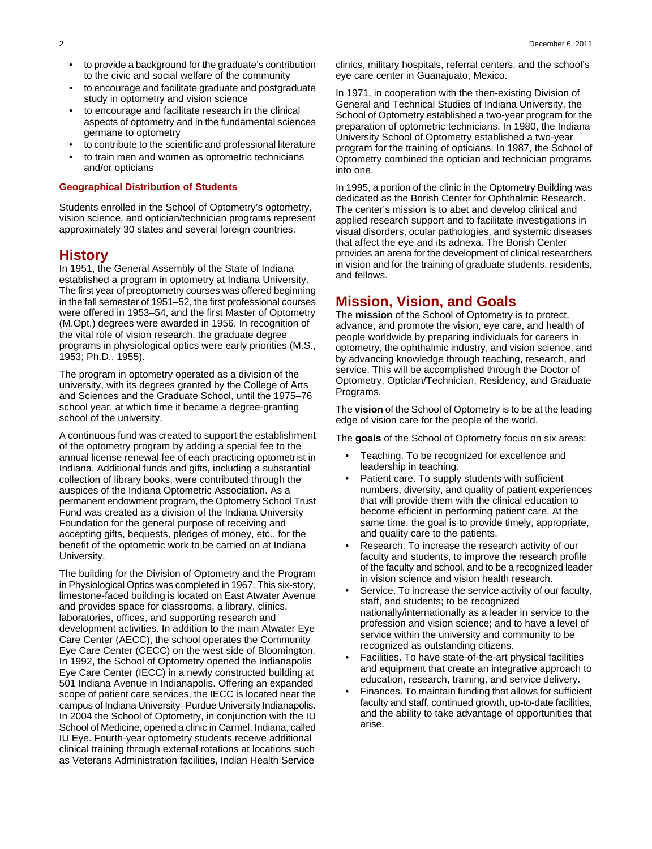- to provide a background for the graduate's contribution to the civic and social welfare of the community
- to encourage and facilitate graduate and postgraduate study in optometry and vision science
- to encourage and facilitate research in the clinical aspects of optometry and in the fundamental sciences germane to optometry
- to contribute to the scientific and professional literature
- to train men and women as optometric technicians and/or opticians

### **Geographical Distribution of Students**

Students enrolled in the School of Optometry's optometry, vision science, and optician/technician programs represent approximately 30 states and several foreign countries.

# **History**

In 1951, the General Assembly of the State of Indiana established a program in optometry at Indiana University. The first year of preoptometry courses was offered beginning in the fall semester of 1951–52, the first professional courses were offered in 1953–54, and the first Master of Optometry (M.Opt.) degrees were awarded in 1956. In recognition of the vital role of vision research, the graduate degree programs in physiological optics were early priorities (M.S., 1953; Ph.D., 1955).

The program in optometry operated as a division of the university, with its degrees granted by the College of Arts and Sciences and the Graduate School, until the 1975–76 school year, at which time it became a degree-granting school of the university.

A continuous fund was created to support the establishment of the optometry program by adding a special fee to the annual license renewal fee of each practicing optometrist in Indiana. Additional funds and gifts, including a substantial collection of library books, were contributed through the auspices of the Indiana Optometric Association. As a permanent endowment program, the Optometry School Trust Fund was created as a division of the Indiana University Foundation for the general purpose of receiving and accepting gifts, bequests, pledges of money, etc., for the benefit of the optometric work to be carried on at Indiana University.

The building for the Division of Optometry and the Program in Physiological Optics was completed in 1967. This six-story, limestone-faced building is located on East Atwater Avenue and provides space for classrooms, a library, clinics, laboratories, offices, and supporting research and development activities. In addition to the main Atwater Eye Care Center (AECC), the school operates the Community Eye Care Center (CECC) on the west side of Bloomington. In 1992, the School of Optometry opened the Indianapolis Eye Care Center (IECC) in a newly constructed building at 501 Indiana Avenue in Indianapolis. Offering an expanded scope of patient care services, the IECC is located near the campus of Indiana University–Purdue University Indianapolis. In 2004 the School of Optometry, in conjunction with the IU School of Medicine, opened a clinic in Carmel, Indiana, called IU Eye. Fourth-year optometry students receive additional clinical training through external rotations at locations such as Veterans Administration facilities, Indian Health Service

clinics, military hospitals, referral centers, and the school's eye care center in Guanajuato, Mexico.

In 1971, in cooperation with the then-existing Division of General and Technical Studies of Indiana University, the School of Optometry established a two-year program for the preparation of optometric technicians. In 1980, the Indiana University School of Optometry established a two-year program for the training of opticians. In 1987, the School of Optometry combined the optician and technician programs into one.

In 1995, a portion of the clinic in the Optometry Building was dedicated as the Borish Center for Ophthalmic Research. The center's mission is to abet and develop clinical and applied research support and to facilitate investigations in visual disorders, ocular pathologies, and systemic diseases that affect the eye and its adnexa. The Borish Center provides an arena for the development of clinical researchers in vision and for the training of graduate students, residents, and fellows.

# **Mission, Vision, and Goals**

The **mission** of the School of Optometry is to protect, advance, and promote the vision, eye care, and health of people worldwide by preparing individuals for careers in optometry, the ophthalmic industry, and vision science, and by advancing knowledge through teaching, research, and service. This will be accomplished through the Doctor of Optometry, Optician/Technician, Residency, and Graduate Programs.

The **vision** of the School of Optometry is to be at the leading edge of vision care for the people of the world.

The **goals** of the School of Optometry focus on six areas:

- Teaching. To be recognized for excellence and leadership in teaching.
- Patient care. To supply students with sufficient numbers, diversity, and quality of patient experiences that will provide them with the clinical education to become efficient in performing patient care. At the same time, the goal is to provide timely, appropriate, and quality care to the patients.
- Research. To increase the research activity of our faculty and students, to improve the research profile of the faculty and school, and to be a recognized leader in vision science and vision health research.
- Service. To increase the service activity of our faculty, staff, and students; to be recognized nationally/internationally as a leader in service to the profession and vision science; and to have a level of service within the university and community to be recognized as outstanding citizens.
- Facilities. To have state-of-the-art physical facilities and equipment that create an integrative approach to education, research, training, and service delivery.
- Finances. To maintain funding that allows for sufficient faculty and staff, continued growth, up-to-date facilities, and the ability to take advantage of opportunities that arise.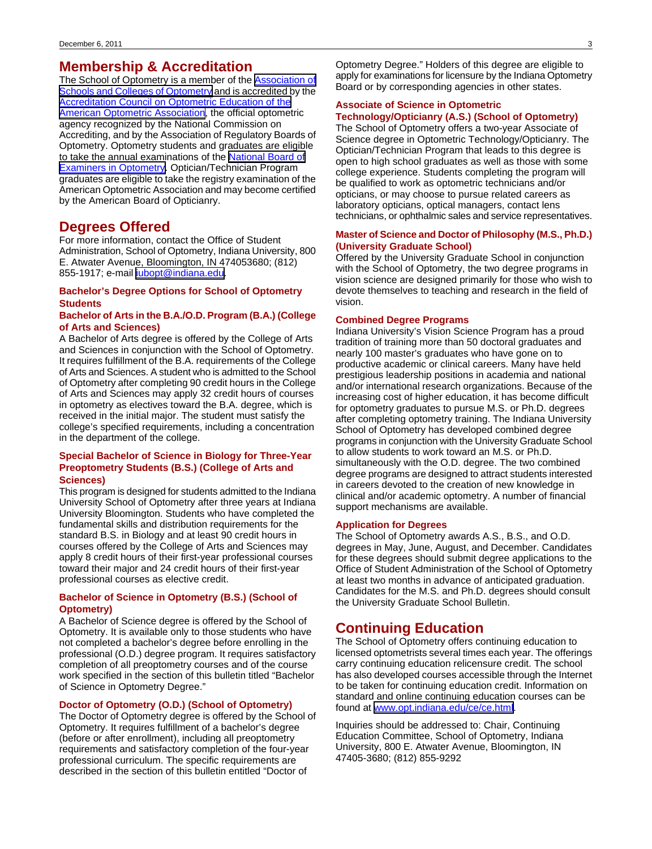# **Membership & Accreditation**

The School of Optometry is a member of the **Association of** [Schools and Colleges of Optometry](http://www.opted.org/i4a/pages/index.cfm?pageid=1) and is accredited by the **[Accreditation Council on Optometric Education of the](http://www.arbo.org/)** [American Optometric Association](http://www.arbo.org/), the official optometric agency recognized by the National Commission on Accrediting, and by the Association of Regulatory Boards of Optometry. Optometry students and graduates are eligible to take the annual examinations of the [National Board of](http://www.optometry.org/) [Examiners in Optometry.](http://www.optometry.org/) Optician/Technician Program graduates are eligible to take the registry examination of the American Optometric Association and may become certified by the American Board of Opticianry.

### **Degrees Offered**

For more information, contact the Office of Student Administration, School of Optometry, Indiana University, 800 E. Atwater Avenue, Bloomington, IN 474053680; (812) 855-1917; e-mail [iubopt@indiana.edu](mailto:iubopt@indiana.edu).

### **Bachelor's Degree Options for School of Optometry Students**

### **Bachelor of Arts in the B.A./O.D. Program (B.A.) (College of Arts and Sciences)**

A Bachelor of Arts degree is offered by the College of Arts and Sciences in conjunction with the School of Optometry. It requires fulfillment of the B.A. requirements of the College of Arts and Sciences. A student who is admitted to the School of Optometry after completing 90 credit hours in the College of Arts and Sciences may apply 32 credit hours of courses in optometry as electives toward the B.A. degree, which is received in the initial major. The student must satisfy the college's specified requirements, including a concentration in the department of the college.

### **Special Bachelor of Science in Biology for Three-Year Preoptometry Students (B.S.) (College of Arts and Sciences)**

This program is designed for students admitted to the Indiana University School of Optometry after three years at Indiana University Bloomington. Students who have completed the fundamental skills and distribution requirements for the standard B.S. in Biology and at least 90 credit hours in courses offered by the College of Arts and Sciences may apply 8 credit hours of their first-year professional courses toward their major and 24 credit hours of their first-year professional courses as elective credit.

### **Bachelor of Science in Optometry (B.S.) (School of Optometry)**

A Bachelor of Science degree is offered by the School of Optometry. It is available only to those students who have not completed a bachelor's degree before enrolling in the professional (O.D.) degree program. It requires satisfactory completion of all preoptometry courses and of the course work specified in the section of this bulletin titled "Bachelor of Science in Optometry Degree."

### **Doctor of Optometry (O.D.) (School of Optometry)**

The Doctor of Optometry degree is offered by the School of Optometry. It requires fulfillment of a bachelor's degree (before or after enrollment), including all preoptometry requirements and satisfactory completion of the four-year professional curriculum. The specific requirements are described in the section of this bulletin entitled "Doctor of

Optometry Degree." Holders of this degree are eligible to apply for examinations for licensure by the Indiana Optometry Board or by corresponding agencies in other states.

### **Associate of Science in Optometric Technology/Opticianry (A.S.) (School of Optometry)**

The School of Optometry offers a two-year Associate of Science degree in Optometric Technology/Opticianry. The Optician/Technician Program that leads to this degree is open to high school graduates as well as those with some college experience. Students completing the program will be qualified to work as optometric technicians and/or opticians, or may choose to pursue related careers as laboratory opticians, optical managers, contact lens technicians, or ophthalmic sales and service representatives.

### **Master of Science and Doctor of Philosophy (M.S., Ph.D.) (University Graduate School)**

Offered by the University Graduate School in conjunction with the School of Optometry, the two degree programs in vision science are designed primarily for those who wish to devote themselves to teaching and research in the field of vision.

### **Combined Degree Programs**

Indiana University's Vision Science Program has a proud tradition of training more than 50 doctoral graduates and nearly 100 master's graduates who have gone on to productive academic or clinical careers. Many have held prestigious leadership positions in academia and national and/or international research organizations. Because of the increasing cost of higher education, it has become difficult for optometry graduates to pursue M.S. or Ph.D. degrees after completing optometry training. The Indiana University School of Optometry has developed combined degree programs in conjunction with the University Graduate School to allow students to work toward an M.S. or Ph.D. simultaneously with the O.D. degree. The two combined degree programs are designed to attract students interested in careers devoted to the creation of new knowledge in clinical and/or academic optometry. A number of financial support mechanisms are available.

#### **Application for Degrees**

The School of Optometry awards A.S., B.S., and O.D. degrees in May, June, August, and December. Candidates for these degrees should submit degree applications to the Office of Student Administration of the School of Optometry at least two months in advance of anticipated graduation. Candidates for the M.S. and Ph.D. degrees should consult the University Graduate School Bulletin.

### **Continuing Education**

The School of Optometry offers continuing education to licensed optometrists several times each year. The offerings carry continuing education relicensure credit. The school has also developed courses accessible through the Internet to be taken for continuing education credit. Information on standard and online continuing education courses can be found at [www.opt.indiana.edu/ce/ce.html](http://www.opt.indiana.edu/ce/ce.html).

Inquiries should be addressed to: Chair, Continuing Education Committee, School of Optometry, Indiana University, 800 E. Atwater Avenue, Bloomington, IN 47405-3680; (812) 855-9292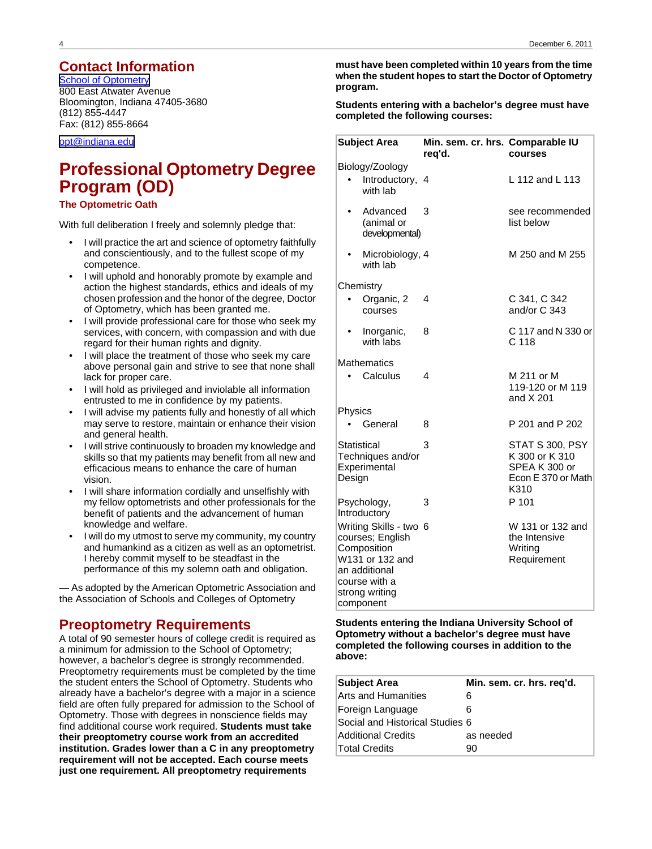# **Contact Information**

**[School of Optometry](http://www.opt.indiana.edu/)** 800 East Atwater Avenue Bloomington, Indiana 47405-3680 (812) 855-4447 Fax: (812) 855-8664

[opt@indiana.edu](mailto:opt@indiana.edu)

# **Professional Optometry Degree Program (OD)**

## **The Optometric Oath**

With full deliberation I freely and solemnly pledge that:

- I will practice the art and science of optometry faithfully and conscientiously, and to the fullest scope of my competence.
- I will uphold and honorably promote by example and action the highest standards, ethics and ideals of my chosen profession and the honor of the degree, Doctor of Optometry, which has been granted me.
- I will provide professional care for those who seek my services, with concern, with compassion and with due regard for their human rights and dignity.
- I will place the treatment of those who seek my care above personal gain and strive to see that none shall lack for proper care.
- I will hold as privileged and inviolable all information entrusted to me in confidence by my patients.
- I will advise my patients fully and honestly of all which may serve to restore, maintain or enhance their vision and general health.
- I will strive continuously to broaden my knowledge and skills so that my patients may benefit from all new and efficacious means to enhance the care of human vision.
- I will share information cordially and unselfishly with my fellow optometrists and other professionals for the benefit of patients and the advancement of human knowledge and welfare.
- I will do my utmost to serve my community, my country and humankind as a citizen as well as an optometrist. I hereby commit myself to be steadfast in the performance of this my solemn oath and obligation.

— As adopted by the American Optometric Association and the Association of Schools and Colleges of Optometry

# **Preoptometry Requirements**

A total of 90 semester hours of college credit is required as a minimum for admission to the School of Optometry; however, a bachelor's degree is strongly recommended. Preoptometry requirements must be completed by the time the student enters the School of Optometry. Students who already have a bachelor's degree with a major in a science field are often fully prepared for admission to the School of Optometry. Those with degrees in nonscience fields may find additional course work required. **Students must take their preoptometry course work from an accredited institution. Grades lower than a C in any preoptometry requirement will not be accepted. Each course meets just one requirement. All preoptometry requirements**

**must have been completed within 10 years from the time when the student hopes to start the Doctor of Optometry program.**

**Students entering with a bachelor's degree must have completed the following courses:**

| <b>Subject Area</b>                                                                                                                           | Min. sem. cr. hrs. Comparable IU<br>req'd. | courses                                                                          |
|-----------------------------------------------------------------------------------------------------------------------------------------------|--------------------------------------------|----------------------------------------------------------------------------------|
| Biology/Zoology<br>Introductory,<br>with lab                                                                                                  | 4                                          | L 112 and L 113                                                                  |
| Advanced<br>(animal or<br>developmental)                                                                                                      | 3                                          | see recommended<br>list below                                                    |
| Microbiology, 4<br>with lab                                                                                                                   |                                            | M 250 and M 255                                                                  |
| Chemistry                                                                                                                                     |                                            |                                                                                  |
| Organic, 2<br>$\bullet$<br>courses                                                                                                            | 4                                          | C 341, C 342<br>and/or C 343                                                     |
| Inorganic,<br>with labs                                                                                                                       | 8                                          | C 117 and N 330 or<br>C 118                                                      |
| <b>Mathematics</b>                                                                                                                            |                                            |                                                                                  |
| Calculus                                                                                                                                      | 4                                          | M 211 or M<br>119-120 or M 119<br>and $X$ 201                                    |
| Physics                                                                                                                                       |                                            |                                                                                  |
| General                                                                                                                                       | 8                                          | P 201 and P 202                                                                  |
| Statistical<br>Techniques and/or<br>Experimental<br>Design                                                                                    | 3                                          | STAT S 300, PSY<br>K 300 or K 310<br>SPEA K 300 or<br>Econ E 370 or Math<br>K310 |
| Psychology,<br>Introductory                                                                                                                   | 3                                          | P 101                                                                            |
| Writing Skills - two 6<br>courses; English<br>Composition<br>W131 or 132 and<br>an additional<br>course with a<br>strong writing<br>component |                                            | W 131 or 132 and<br>the Intensive<br>Writing<br>Requirement                      |

**Students entering the Indiana University School of Optometry without a bachelor's degree must have completed the following courses in addition to the above:**

| <b>Subject Area</b>             | Min. sem. cr. hrs. reg'd. |
|---------------------------------|---------------------------|
| Arts and Humanities             | 6                         |
| Foreign Language                | 6                         |
| Social and Historical Studies 6 |                           |
| <b>Additional Credits</b>       | as needed                 |
| <b>Total Credits</b>            | 90                        |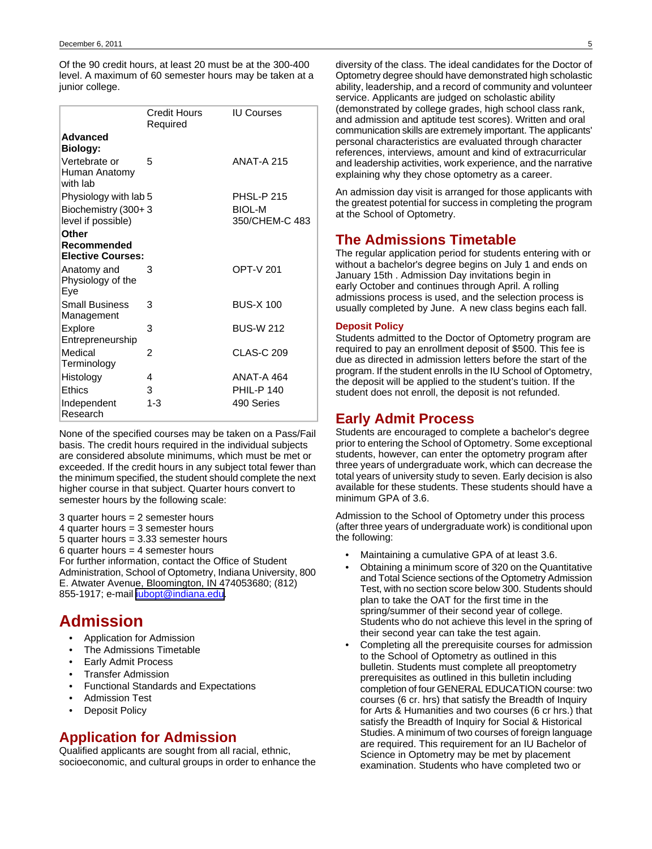Of the 90 credit hours, at least 20 must be at the 300-400 level. A maximum of 60 semester hours may be taken at a junior college.

|                                            | Credit Hours<br>Required | <b>IU Courses</b>               |
|--------------------------------------------|--------------------------|---------------------------------|
| <b>Advanced</b><br>Biology:                |                          |                                 |
| Vertebrate or<br>Human Anatomy<br>with lah | 5                        | ANAT-A 215                      |
| Physiology with lab 5                      |                          | <b>PHSL-P 215</b>               |
| Biochemistry (300+3<br>level if possible)  |                          | <b>BIOL-M</b><br>350/CHEM-C 483 |
| Other                                      |                          |                                 |
| Recommended                                |                          |                                 |
| <b>Elective Courses:</b>                   |                          |                                 |
| Anatomy and<br>Physiology of the<br>Eye    | з                        | <b>OPT-V 201</b>                |
| <b>Small Business</b><br>Management        | 3                        | <b>BUS-X 100</b>                |
| Explore<br>Entrepreneurship                | 3                        | <b>BUS-W 212</b>                |
| Medical<br>Terminology                     | 2                        | <b>CLAS-C 209</b>               |
| Histology                                  | 4                        | <b>ANAT-A 464</b>               |
| <b>Ethics</b>                              | 3                        | <b>PHIL-P 140</b>               |
| Independent<br>Research                    | $1 - 3$                  | 490 Series                      |

None of the specified courses may be taken on a Pass/Fail basis. The credit hours required in the individual subjects are considered absolute minimums, which must be met or exceeded. If the credit hours in any subject total fewer than the minimum specified, the student should complete the next higher course in that subject. Quarter hours convert to semester hours by the following scale:

3 quarter hours = 2 semester hours

4 quarter hours = 3 semester hours

5 quarter hours = 3.33 semester hours

6 quarter hours  $= 4$  semester hours

For further information, contact the Office of Student Administration, School of Optometry, Indiana University, 800 E. Atwater Avenue, Bloomington, IN 474053680; (812) 855-1917; e-mail [iubopt@indiana.edu](mailto:iubopt@indiana.edu).

# **Admission**

- Application for Admission
- The Admissions Timetable
- Early Admit Process
- Transfer Admission
- Functional Standards and Expectations
- Admission Test
- Deposit Policy

# **Application for Admission**

Qualified applicants are sought from all racial, ethnic, socioeconomic, and cultural groups in order to enhance the

diversity of the class. The ideal candidates for the Doctor of Optometry degree should have demonstrated high scholastic ability, leadership, and a record of community and volunteer service. Applicants are judged on scholastic ability (demonstrated by college grades, high school class rank, and admission and aptitude test scores). Written and oral communication skills are extremely important. The applicants' personal characteristics are evaluated through character references, interviews, amount and kind of extracurricular and leadership activities, work experience, and the narrative explaining why they chose optometry as a career.

An admission day visit is arranged for those applicants with the greatest potential for success in completing the program at the School of Optometry.

# **The Admissions Timetable**

The regular application period for students entering with or without a bachelor's degree begins on July 1 and ends on January 15th . Admission Day invitations begin in early October and continues through April. A rolling admissions process is used, and the selection process is usually completed by June. A new class begins each fall.

### **Deposit Policy**

Students admitted to the Doctor of Optometry program are required to pay an enrollment deposit of \$500. This fee is due as directed in admission letters before the start of the program. If the student enrolls in the IU School of Optometry, the deposit will be applied to the student's tuition. If the student does not enroll, the deposit is not refunded.

## **Early Admit Process**

Students are encouraged to complete a bachelor's degree prior to entering the School of Optometry. Some exceptional students, however, can enter the optometry program after three years of undergraduate work, which can decrease the total years of university study to seven. Early decision is also available for these students. These students should have a minimum GPA of 3.6.

Admission to the School of Optometry under this process (after three years of undergraduate work) is conditional upon the following:

- Maintaining a cumulative GPA of at least 3.6.
- Obtaining a minimum score of 320 on the Quantitative and Total Science sections of the Optometry Admission Test, with no section score below 300. Students should plan to take the OAT for the first time in the spring/summer of their second year of college. Students who do not achieve this level in the spring of their second year can take the test again.
- Completing all the prerequisite courses for admission to the School of Optometry as outlined in this bulletin. Students must complete all preoptometry prerequisites as outlined in this bulletin including completion of four GENERAL EDUCATION course: two courses (6 cr. hrs) that satisfy the Breadth of Inquiry for Arts & Humanities and two courses (6 cr hrs.) that satisfy the Breadth of Inquiry for Social & Historical Studies. A minimum of two courses of foreign language are required. This requirement for an IU Bachelor of Science in Optometry may be met by placement examination. Students who have completed two or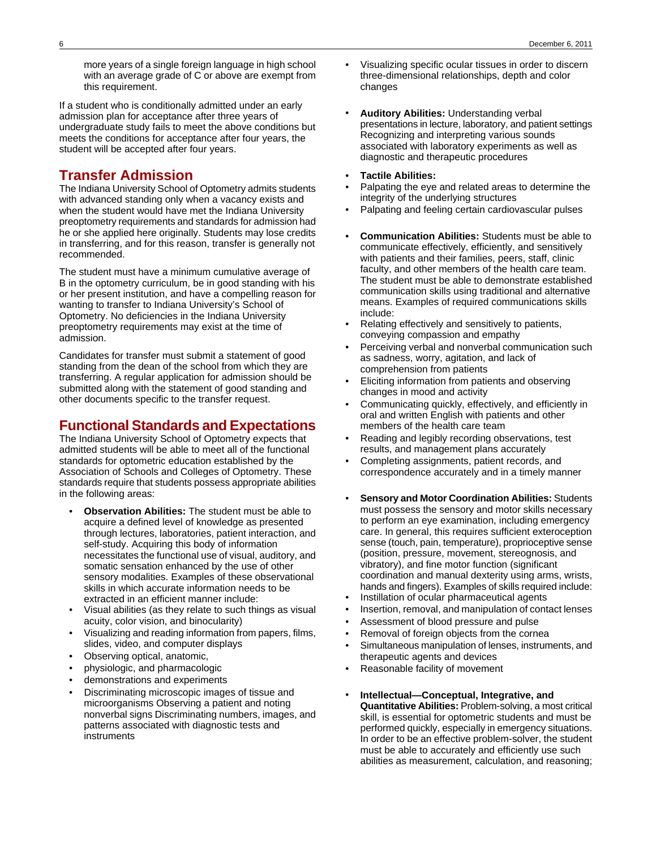more years of a single foreign language in high school with an average grade of C or above are exempt from this requirement.

If a student who is conditionally admitted under an early admission plan for acceptance after three years of undergraduate study fails to meet the above conditions but meets the conditions for acceptance after four years, the student will be accepted after four years.

# **Transfer Admission**

The Indiana University School of Optometry admits students with advanced standing only when a vacancy exists and when the student would have met the Indiana University preoptometry requirements and standards for admission had he or she applied here originally. Students may lose credits in transferring, and for this reason, transfer is generally not recommended.

The student must have a minimum cumulative average of B in the optometry curriculum, be in good standing with his or her present institution, and have a compelling reason for wanting to transfer to Indiana University's School of Optometry. No deficiencies in the Indiana University preoptometry requirements may exist at the time of admission.

Candidates for transfer must submit a statement of good standing from the dean of the school from which they are transferring. A regular application for admission should be submitted along with the statement of good standing and other documents specific to the transfer request.

# **Functional Standards and Expectations**

The Indiana University School of Optometry expects that admitted students will be able to meet all of the functional standards for optometric education established by the Association of Schools and Colleges of Optometry. These standards require that students possess appropriate abilities in the following areas:

- **Observation Abilities:** The student must be able to acquire a defined level of knowledge as presented through lectures, laboratories, patient interaction, and self-study. Acquiring this body of information necessitates the functional use of visual, auditory, and somatic sensation enhanced by the use of other sensory modalities. Examples of these observational skills in which accurate information needs to be extracted in an efficient manner include:
- Visual abilities (as they relate to such things as visual acuity, color vision, and binocularity)
- Visualizing and reading information from papers, films, slides, video, and computer displays
- Observing optical, anatomic,
- physiologic, and pharmacologic
- demonstrations and experiments
- Discriminating microscopic images of tissue and microorganisms Observing a patient and noting nonverbal signs Discriminating numbers, images, and patterns associated with diagnostic tests and instruments
- Visualizing specific ocular tissues in order to discern three-dimensional relationships, depth and color changes
- **Auditory Abilities:** Understanding verbal presentations in lecture, laboratory, and patient settings Recognizing and interpreting various sounds associated with laboratory experiments as well as diagnostic and therapeutic procedures
- **Tactile Abilities:**
- Palpating the eye and related areas to determine the integrity of the underlying structures
- Palpating and feeling certain cardiovascular pulses
- **Communication Abilities:** Students must be able to communicate effectively, efficiently, and sensitively with patients and their families, peers, staff, clinic faculty, and other members of the health care team. The student must be able to demonstrate established communication skills using traditional and alternative means. Examples of required communications skills include:
- Relating effectively and sensitively to patients, conveying compassion and empathy
- Perceiving verbal and nonverbal communication such as sadness, worry, agitation, and lack of comprehension from patients
- Eliciting information from patients and observing changes in mood and activity
- Communicating quickly, effectively, and efficiently in oral and written English with patients and other members of the health care team
- Reading and legibly recording observations, test results, and management plans accurately
- Completing assignments, patient records, and correspondence accurately and in a timely manner
- **Sensory and Motor Coordination Abilities:** Students must possess the sensory and motor skills necessary to perform an eye examination, including emergency care. In general, this requires sufficient exteroception sense (touch, pain, temperature), proprioceptive sense (position, pressure, movement, stereognosis, and vibratory), and fine motor function (significant coordination and manual dexterity using arms, wrists, hands and fingers). Examples of skills required include:
- Instillation of ocular pharmaceutical agents
- Insertion, removal, and manipulation of contact lenses
- Assessment of blood pressure and pulse
- Removal of foreign objects from the cornea
- Simultaneous manipulation of lenses, instruments, and therapeutic agents and devices
- Reasonable facility of movement
- **Intellectual—Conceptual, Integrative, and Quantitative Abilities:** Problem-solving, a most critical skill, is essential for optometric students and must be performed quickly, especially in emergency situations. In order to be an effective problem-solver, the student must be able to accurately and efficiently use such abilities as measurement, calculation, and reasoning;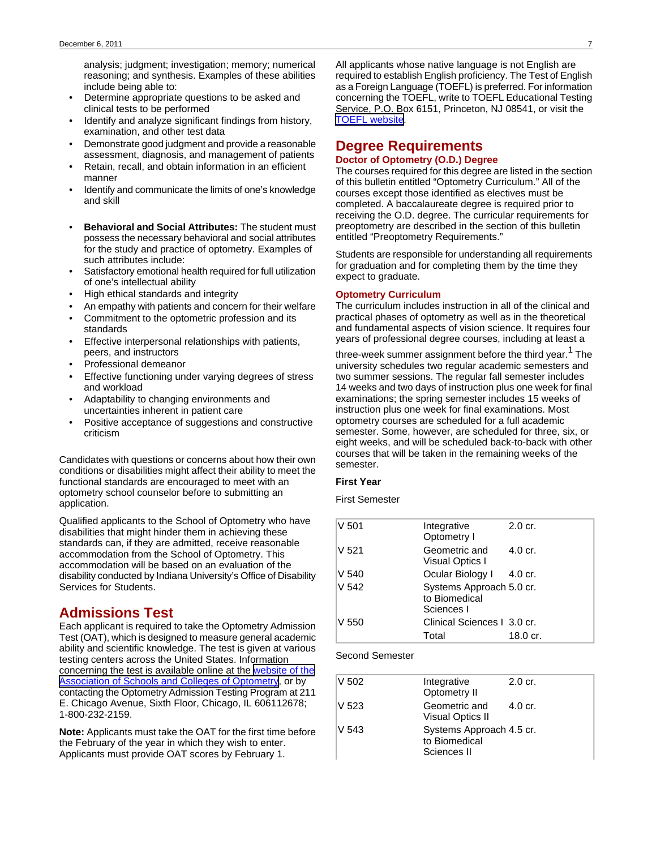analysis; judgment; investigation; memory; numerical reasoning; and synthesis. Examples of these abilities include being able to:

- Determine appropriate questions to be asked and clinical tests to be performed
- Identify and analyze significant findings from history, examination, and other test data
- Demonstrate good judgment and provide a reasonable assessment, diagnosis, and management of patients
- Retain, recall, and obtain information in an efficient manner
- Identify and communicate the limits of one's knowledge and skill
- **Behavioral and Social Attributes:** The student must possess the necessary behavioral and social attributes for the study and practice of optometry. Examples of such attributes include:
- Satisfactory emotional health required for full utilization of one's intellectual ability
- High ethical standards and integrity
- An empathy with patients and concern for their welfare
- Commitment to the optometric profession and its standards
- Effective interpersonal relationships with patients, peers, and instructors
- Professional demeanor
- Effective functioning under varying degrees of stress and workload
- Adaptability to changing environments and uncertainties inherent in patient care
- Positive acceptance of suggestions and constructive criticism

Candidates with questions or concerns about how their own conditions or disabilities might affect their ability to meet the functional standards are encouraged to meet with an optometry school counselor before to submitting an application.

Qualified applicants to the School of Optometry who have disabilities that might hinder them in achieving these standards can, if they are admitted, receive reasonable accommodation from the School of Optometry. This accommodation will be based on an evaluation of the disability conducted by Indiana University's Office of Disability Services for Students.

# **Admissions Test**

Each applicant is required to take the Optometry Admission Test (OAT), which is designed to measure general academic ability and scientific knowledge. The test is given at various testing centers across the United States. Information concerning the test is available online at the [website of the](http://www.opted.org) [Association of Schools and Colleges of Optometry](http://www.opted.org), or by contacting the Optometry Admission Testing Program at 211 E. Chicago Avenue, Sixth Floor, Chicago, IL 606112678; 1-800-232-2159.

**Note:** Applicants must take the OAT for the first time before the February of the year in which they wish to enter. Applicants must provide OAT scores by February 1.

All applicants whose native language is not English are required to establish English proficiency. The Test of English as a Foreign Language (TOEFL) is preferred. For information concerning the TOEFL, write to TOEFL Educational Testing Service, P.O. Box 6151, Princeton, NJ 08541, or visit the [TOEFL website](http://www.toefl.org).

# **Degree Requirements**

### **Doctor of Optometry (O.D.) Degree**

The courses required for this degree are listed in the section of this bulletin entitled "Optometry Curriculum." All of the courses except those identified as electives must be completed. A baccalaureate degree is required prior to receiving the O.D. degree. The curricular requirements for preoptometry are described in the section of this bulletin entitled "Preoptometry Requirements."

Students are responsible for understanding all requirements for graduation and for completing them by the time they expect to graduate.

#### **Optometry Curriculum**

The curriculum includes instruction in all of the clinical and practical phases of optometry as well as in the theoretical and fundamental aspects of vision science. It requires four years of professional degree courses, including at least a

three-week summer assignment before the third year.<sup>1</sup> The university schedules two regular academic semesters and two summer sessions. The regular fall semester includes 14 weeks and two days of instruction plus one week for final examinations; the spring semester includes 15 weeks of instruction plus one week for final examinations. Most optometry courses are scheduled for a full academic semester. Some, however, are scheduled for three, six, or eight weeks, and will be scheduled back-to-back with other courses that will be taken in the remaining weeks of the semester.

### **First Year**

First Semester

| V 501            | Integrative<br>Optometry I                              | $2.0 \text{ cr}$ . |
|------------------|---------------------------------------------------------|--------------------|
| V 521            | Geometric and<br>Visual Optics I                        | $4.0 \text{ cr}$ . |
| V <sub>540</sub> | Ocular Biology I                                        | 4.0 cr.            |
| V 542            | Systems Approach 5.0 cr.<br>to Biomedical<br>Sciences I |                    |
| IV 550           | Clinical Sciences   3.0 cr.                             |                    |
|                  | Total                                                   | 18.0 cr.           |

Second Semester

| V 502  | Integrative<br>Optometry II                              | $2.0$ cr.         |
|--------|----------------------------------------------------------|-------------------|
| IV 523 | Geometric and<br>Visual Optics II                        | $4.0 \text{ cr}.$ |
| IV 543 | Systems Approach 4.5 cr.<br>to Biomedical<br>Sciences II |                   |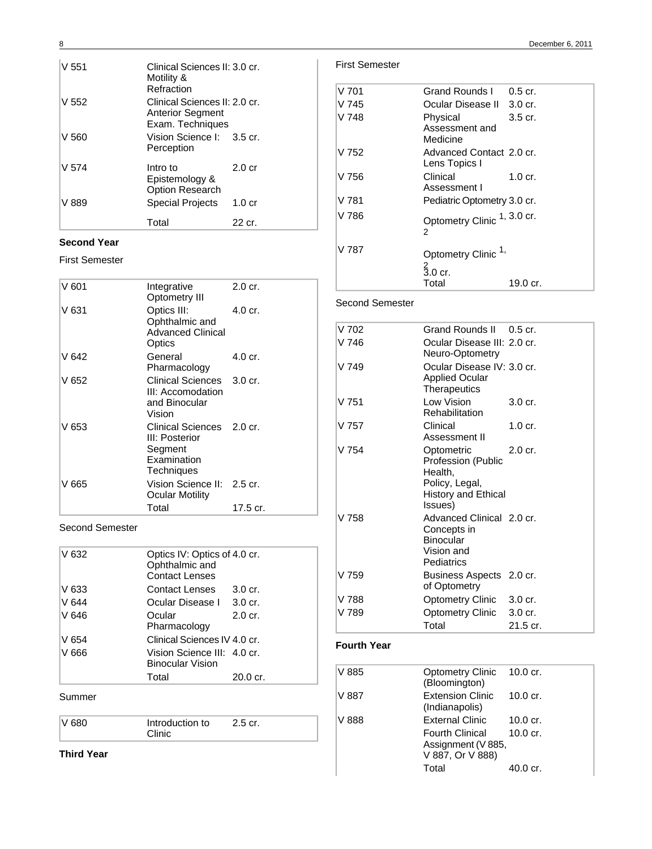| V <sub>551</sub> | Clinical Sciences II: 3.0 cr.<br>Motility &<br>Refraction                    |                   |
|------------------|------------------------------------------------------------------------------|-------------------|
| V <sub>552</sub> | Clinical Sciences II: 2.0 cr.<br><b>Anterior Segment</b><br>Exam. Techniques |                   |
| V 560            | Vision Science I: 3.5 cr.<br>Perception                                      |                   |
| V <sub>574</sub> | Intro to<br>Epistemology &<br><b>Option Research</b>                         | 2.0 <sub>cr</sub> |
| V 889            | <b>Special Projects</b>                                                      | 1.0 <sub>cr</sub> |
|                  | Total                                                                        | 22 cr.            |

## **Second Year**

### First Semester

| V 601   | Integrative<br>Optometry III                                                               | $2.0 \text{ cr}$ . |
|---------|--------------------------------------------------------------------------------------------|--------------------|
| V 631   | Optics III:<br>Ophthalmic and<br><b>Advanced Clinical</b><br>Optics                        | $4.0 \text{ cr}$ . |
| V 642   | General<br>Pharmacology                                                                    | $4.0 \text{ cr}$ . |
| $V$ 652 | Clinical Sciences 3.0 cr.<br>III: Accomodation<br>and Binocular<br>Vision                  |                    |
| V 653   | Clinical Sciences 2.0 cr.<br>III: Posterior<br>Segment<br><b>Examination</b><br>Techniques |                    |
| V 665   | Vision Science II: 2.5 cr.<br><b>Ocular Motility</b>                                       |                    |
|         | Total                                                                                      | $17.5$ cr.         |

### Second Semester

| V 632 | Optics IV: Optics of 4.0 cr.<br>Ophthalmic and<br><b>Contact Lenses</b> |                    |
|-------|-------------------------------------------------------------------------|--------------------|
| V 633 | Contact Lenses                                                          | $3.0 \text{ cr}$   |
| V 644 | Ocular Disease I                                                        | $3.0 \text{ cr}$ . |
| V 646 | Ocular<br>Pharmacology                                                  | $2.0 \text{ cr}$   |
| V 654 | Clinical Sciences IV 4.0 cr.                                            |                    |
| V 666 | Vision Science III: 4.0 cr.<br><b>Binocular Vision</b>                  |                    |
|       | Total                                                                   | 20.0 cr.           |
|       |                                                                         |                    |

### Summer

| Clinic |
|--------|
|--------|

### **Third Year**

### First Semester

| V 701 | Grand Rounds I                                         | $0.5$ cr.          |
|-------|--------------------------------------------------------|--------------------|
| V 745 | Ocular Disease II                                      | $3.0 \text{ cr}$ . |
| V 748 | Physical<br>Assessment and<br>Medicine                 | $3.5$ cr.          |
| V 752 | Advanced Contact 2.0 cr.<br>Lens Topics I              |                    |
| V 756 | Clinical<br>Assessment I                               | $1.0 \text{ cr}$ . |
| V 781 | Pediatric Optometry 3.0 cr.                            |                    |
| V 786 | Optometry Clinic 1, 3.0 cr.<br>2                       |                    |
| V 787 | Optometry Clinic <sup>1,</sup><br>$\frac{2}{3}$ .0 cr. |                    |
|       | Total                                                  | 19.0 cr.           |

### Second Semester

| V 702 | Grand Rounds II 0.5 cr.                                                                                |                    |
|-------|--------------------------------------------------------------------------------------------------------|--------------------|
| V 746 | Ocular Disease III: 2.0 cr.<br>Neuro-Optometry                                                         |                    |
| V 749 | Ocular Disease IV: 3.0 cr.<br><b>Applied Ocular</b><br>Therapeutics                                    |                    |
| V 751 | Low Vision<br>Rehabilitation                                                                           | 3.0 cr.            |
| V 757 | Clinical<br>Assessment II                                                                              | $1.0 \text{ cr}$ . |
| V 754 | Optometric<br>Profession (Public<br>Health,<br>Policy, Legal,<br><b>History and Ethical</b><br>Issues) | $2.0 \text{ cr}$ . |
| V 758 | Advanced Clinical 2.0 cr.<br>Concepts in<br><b>Binocular</b><br>Vision and<br>Pediatrics               |                    |
| V 759 | Business Aspects 2.0 cr.<br>of Optometry                                                               |                    |
| V 788 | Optometry Clinic 3.0 cr.                                                                               |                    |
| V 789 | Optometry Clinic 3.0 cr.<br>Total                                                                      | $21.5$ cr.         |

### **Fourth Year**

| V 885 | Optometry Clinic 10.0 cr.<br>(Bloomington)                       |            |
|-------|------------------------------------------------------------------|------------|
| V 887 | <b>Extension Clinic</b><br>(Indianapolis)                        | 10.0 $cr.$ |
| V 888 | External Clinic                                                  | 10.0 $cr.$ |
|       | <b>Fourth Clinical</b><br>Assignment (V 885,<br>V 887, Or V 888) | 10.0 $cr.$ |
|       | Total                                                            | 40.0 cr.   |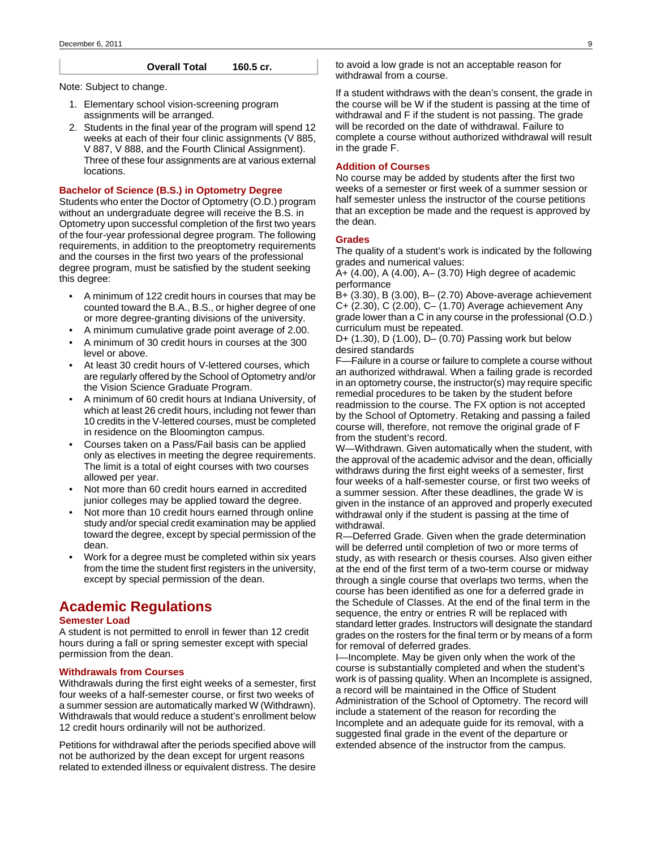### **Overall Total 160.5 cr.**

Note: Subject to change.

- 1. Elementary school vision-screening program assignments will be arranged.
- 2. Students in the final year of the program will spend 12 weeks at each of their four clinic assignments (V 885, V 887, V 888, and the Fourth Clinical Assignment). Three of these four assignments are at various external locations.

### **Bachelor of Science (B.S.) in Optometry Degree**

Students who enter the Doctor of Optometry (O.D.) program without an undergraduate degree will receive the B.S. in Optometry upon successful completion of the first two years of the four-year professional degree program. The following requirements, in addition to the preoptometry requirements and the courses in the first two years of the professional degree program, must be satisfied by the student seeking this degree:

- A minimum of 122 credit hours in courses that may be counted toward the B.A., B.S., or higher degree of one or more degree-granting divisions of the university.
- A minimum cumulative grade point average of 2.00.
- A minimum of 30 credit hours in courses at the 300 level or above.
- At least 30 credit hours of V-lettered courses, which are regularly offered by the School of Optometry and/or the Vision Science Graduate Program.
- A minimum of 60 credit hours at Indiana University, of which at least 26 credit hours, including not fewer than 10 credits in the V-lettered courses, must be completed in residence on the Bloomington campus.
- Courses taken on a Pass/Fail basis can be applied only as electives in meeting the degree requirements. The limit is a total of eight courses with two courses allowed per year.
- Not more than 60 credit hours earned in accredited junior colleges may be applied toward the degree.
- Not more than 10 credit hours earned through online study and/or special credit examination may be applied toward the degree, except by special permission of the dean.
- Work for a degree must be completed within six years from the time the student first registers in the university, except by special permission of the dean.

# **Academic Regulations**

### **Semester Load**

A student is not permitted to enroll in fewer than 12 credit hours during a fall or spring semester except with special permission from the dean.

### **Withdrawals from Courses**

Withdrawals during the first eight weeks of a semester, first four weeks of a half-semester course, or first two weeks of a summer session are automatically marked W (Withdrawn). Withdrawals that would reduce a student's enrollment below 12 credit hours ordinarily will not be authorized.

Petitions for withdrawal after the periods specified above will not be authorized by the dean except for urgent reasons related to extended illness or equivalent distress. The desire

to avoid a low grade is not an acceptable reason for withdrawal from a course.

If a student withdraws with the dean's consent, the grade in the course will be W if the student is passing at the time of withdrawal and F if the student is not passing. The grade will be recorded on the date of withdrawal. Failure to complete a course without authorized withdrawal will result in the grade F.

### **Addition of Courses**

No course may be added by students after the first two weeks of a semester or first week of a summer session or half semester unless the instructor of the course petitions that an exception be made and the request is approved by the dean.

### **Grades**

The quality of a student's work is indicated by the following grades and numerical values:

 $\tilde{A}$ + (4.00), A (4.00), A– (3.70) High degree of academic performance

B+ (3.30), B (3.00), B– (2.70) Above-average achievement C+ (2.30), C (2.00), C– (1.70) Average achievement Any grade lower than a C in any course in the professional (O.D.) curriculum must be repeated.

D+ (1.30), D (1.00), D– (0.70) Passing work but below desired standards

F—Failure in a course or failure to complete a course without an authorized withdrawal. When a failing grade is recorded in an optometry course, the instructor(s) may require specific remedial procedures to be taken by the student before readmission to the course. The FX option is not accepted by the School of Optometry. Retaking and passing a failed course will, therefore, not remove the original grade of F from the student's record.

W—Withdrawn. Given automatically when the student, with the approval of the academic advisor and the dean, officially withdraws during the first eight weeks of a semester, first four weeks of a half-semester course, or first two weeks of a summer session. After these deadlines, the grade W is given in the instance of an approved and properly executed withdrawal only if the student is passing at the time of withdrawal.

R—Deferred Grade. Given when the grade determination will be deferred until completion of two or more terms of study, as with research or thesis courses. Also given either at the end of the first term of a two-term course or midway through a single course that overlaps two terms, when the course has been identified as one for a deferred grade in the Schedule of Classes. At the end of the final term in the sequence, the entry or entries R will be replaced with standard letter grades. Instructors will designate the standard grades on the rosters for the final term or by means of a form for removal of deferred grades.

I—Incomplete. May be given only when the work of the course is substantially completed and when the student's work is of passing quality. When an Incomplete is assigned, a record will be maintained in the Office of Student Administration of the School of Optometry. The record will include a statement of the reason for recording the Incomplete and an adequate guide for its removal, with a suggested final grade in the event of the departure or extended absence of the instructor from the campus.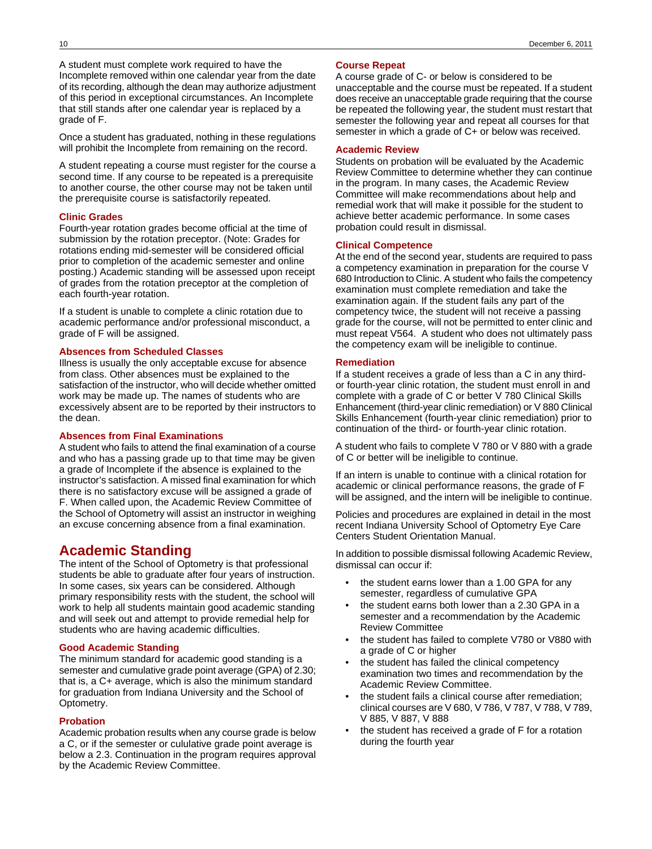A student must complete work required to have the Incomplete removed within one calendar year from the date of its recording, although the dean may authorize adjustment of this period in exceptional circumstances. An Incomplete that still stands after one calendar year is replaced by a grade of F.

Once a student has graduated, nothing in these regulations will prohibit the Incomplete from remaining on the record.

A student repeating a course must register for the course a second time. If any course to be repeated is a prerequisite to another course, the other course may not be taken until the prerequisite course is satisfactorily repeated.

### **Clinic Grades**

Fourth-year rotation grades become official at the time of submission by the rotation preceptor. (Note: Grades for rotations ending mid-semester will be considered official prior to completion of the academic semester and online posting.) Academic standing will be assessed upon receipt of grades from the rotation preceptor at the completion of each fourth-year rotation.

If a student is unable to complete a clinic rotation due to academic performance and/or professional misconduct, a grade of F will be assigned.

### **Absences from Scheduled Classes**

Illness is usually the only acceptable excuse for absence from class. Other absences must be explained to the satisfaction of the instructor, who will decide whether omitted work may be made up. The names of students who are excessively absent are to be reported by their instructors to the dean.

### **Absences from Final Examinations**

A student who fails to attend the final examination of a course and who has a passing grade up to that time may be given a grade of Incomplete if the absence is explained to the instructor's satisfaction. A missed final examination for which there is no satisfactory excuse will be assigned a grade of F. When called upon, the Academic Review Committee of the School of Optometry will assist an instructor in weighing an excuse concerning absence from a final examination.

# **Academic Standing**

The intent of the School of Optometry is that professional students be able to graduate after four years of instruction. In some cases, six years can be considered. Although primary responsibility rests with the student, the school will work to help all students maintain good academic standing and will seek out and attempt to provide remedial help for students who are having academic difficulties.

### **Good Academic Standing**

The minimum standard for academic good standing is a semester and cumulative grade point average (GPA) of 2.30; that is, a C+ average, which is also the minimum standard for graduation from Indiana University and the School of Optometry.

### **Probation**

Academic probation results when any course grade is below a C, or if the semester or cululative grade point average is below a 2.3. Continuation in the program requires approval by the Academic Review Committee.

### **Course Repeat**

A course grade of C- or below is considered to be unacceptable and the course must be repeated. If a student does receive an unacceptable grade requiring that the course be repeated the following year, the student must restart that semester the following year and repeat all courses for that semester in which a grade of C+ or below was received.

### **Academic Review**

Students on probation will be evaluated by the Academic Review Committee to determine whether they can continue in the program. In many cases, the Academic Review Committee will make recommendations about help and remedial work that will make it possible for the student to achieve better academic performance. In some cases probation could result in dismissal.

### **Clinical Competence**

At the end of the second year, students are required to pass a competency examination in preparation for the course V 680 Introduction to Clinic. A student who fails the competency examination must complete remediation and take the examination again. If the student fails any part of the competency twice, the student will not receive a passing grade for the course, will not be permitted to enter clinic and must repeat V564. A student who does not ultimately pass the competency exam will be ineligible to continue.

### **Remediation**

If a student receives a grade of less than a C in any thirdor fourth-year clinic rotation, the student must enroll in and complete with a grade of C or better V 780 Clinical Skills Enhancement (third-year clinic remediation) or V 880 Clinical Skills Enhancement (fourth-year clinic remediation) prior to continuation of the third- or fourth-year clinic rotation.

A student who fails to complete V 780 or V 880 with a grade of C or better will be ineligible to continue.

If an intern is unable to continue with a clinical rotation for academic or clinical performance reasons, the grade of F will be assigned, and the intern will be ineligible to continue.

Policies and procedures are explained in detail in the most recent Indiana University School of Optometry Eye Care Centers Student Orientation Manual.

In addition to possible dismissal following Academic Review, dismissal can occur if:

- the student earns lower than a 1.00 GPA for any semester, regardless of cumulative GPA
- the student earns both lower than a 2.30 GPA in a semester and a recommendation by the Academic Review Committee
- the student has failed to complete V780 or V880 with a grade of C or higher
- the student has failed the clinical competency examination two times and recommendation by the Academic Review Committee.
- the student fails a clinical course after remediation; clinical courses are V 680, V 786, V 787, V 788, V 789, V 885, V 887, V 888
- the student has received a grade of F for a rotation during the fourth year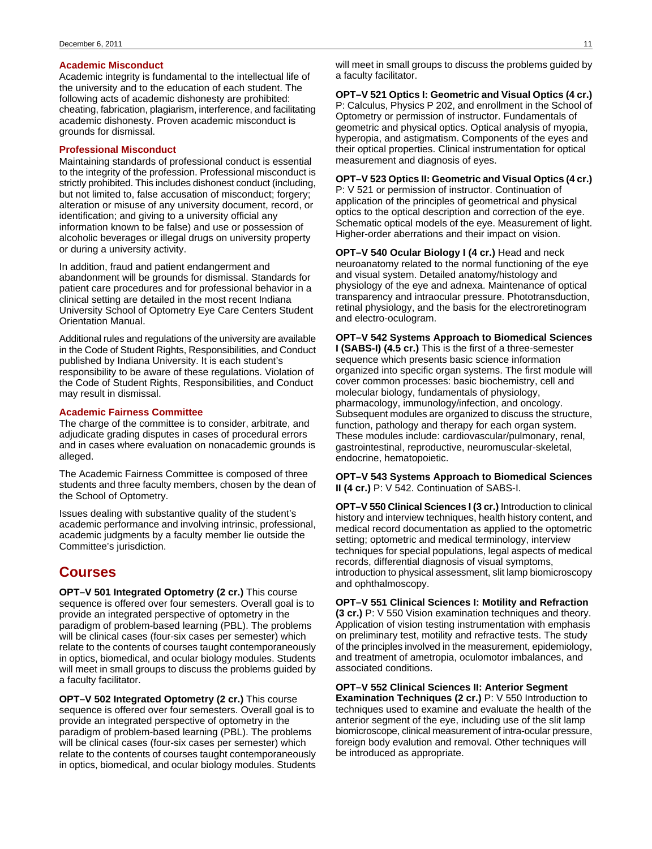### **Academic Misconduct**

Academic integrity is fundamental to the intellectual life of the university and to the education of each student. The following acts of academic dishonesty are prohibited: cheating, fabrication, plagiarism, interference, and facilitating academic dishonesty. Proven academic misconduct is grounds for dismissal.

### **Professional Misconduct**

Maintaining standards of professional conduct is essential to the integrity of the profession. Professional misconduct is strictly prohibited. This includes dishonest conduct (including, but not limited to, false accusation of misconduct; forgery; alteration or misuse of any university document, record, or identification; and giving to a university official any information known to be false) and use or possession of alcoholic beverages or illegal drugs on university property or during a university activity.

In addition, fraud and patient endangerment and abandonment will be grounds for dismissal. Standards for patient care procedures and for professional behavior in a clinical setting are detailed in the most recent Indiana University School of Optometry Eye Care Centers Student Orientation Manual.

Additional rules and regulations of the university are available in the Code of Student Rights, Responsibilities, and Conduct published by Indiana University. It is each student's responsibility to be aware of these regulations. Violation of the Code of Student Rights, Responsibilities, and Conduct may result in dismissal.

### **Academic Fairness Committee**

The charge of the committee is to consider, arbitrate, and adjudicate grading disputes in cases of procedural errors and in cases where evaluation on nonacademic grounds is alleged.

The Academic Fairness Committee is composed of three students and three faculty members, chosen by the dean of the School of Optometry.

Issues dealing with substantive quality of the student's academic performance and involving intrinsic, professional, academic judgments by a faculty member lie outside the Committee's jurisdiction.

# **Courses**

**OPT–V 501 Integrated Optometry (2 cr.)** This course sequence is offered over four semesters. Overall goal is to provide an integrated perspective of optometry in the paradigm of problem-based learning (PBL). The problems will be clinical cases (four-six cases per semester) which relate to the contents of courses taught contemporaneously in optics, biomedical, and ocular biology modules. Students will meet in small groups to discuss the problems guided by a faculty facilitator.

**OPT–V 502 Integrated Optometry (2 cr.)** This course sequence is offered over four semesters. Overall goal is to provide an integrated perspective of optometry in the paradigm of problem-based learning (PBL). The problems will be clinical cases (four-six cases per semester) which relate to the contents of courses taught contemporaneously in optics, biomedical, and ocular biology modules. Students

will meet in small groups to discuss the problems guided by a faculty facilitator.

**OPT–V 521 Optics I: Geometric and Visual Optics (4 cr.)** P: Calculus, Physics P 202, and enrollment in the School of Optometry or permission of instructor. Fundamentals of geometric and physical optics. Optical analysis of myopia, hyperopia, and astigmatism. Components of the eyes and their optical properties. Clinical instrumentation for optical measurement and diagnosis of eyes.

**OPT–V 523 Optics II: Geometric and Visual Optics (4 cr.)** P: V 521 or permission of instructor. Continuation of application of the principles of geometrical and physical optics to the optical description and correction of the eye. Schematic optical models of the eye. Measurement of light. Higher-order aberrations and their impact on vision.

**OPT–V 540 Ocular Biology I (4 cr.)** Head and neck neuroanatomy related to the normal functioning of the eye and visual system. Detailed anatomy/histology and physiology of the eye and adnexa. Maintenance of optical transparency and intraocular pressure. Phototransduction, retinal physiology, and the basis for the electroretinogram and electro-oculogram.

**OPT–V 542 Systems Approach to Biomedical Sciences I (SABS-I) (4.5 cr.)** This is the first of a three-semester sequence which presents basic science information organized into specific organ systems. The first module will cover common processes: basic biochemistry, cell and molecular biology, fundamentals of physiology, pharmacology, immunology/infection, and oncology. Subsequent modules are organized to discuss the structure, function, pathology and therapy for each organ system. These modules include: cardiovascular/pulmonary, renal, gastrointestinal, reproductive, neuromuscular-skeletal, endocrine, hematopoietic.

**OPT–V 543 Systems Approach to Biomedical Sciences II (4 cr.)** P: V 542. Continuation of SABS-I.

**OPT–V 550 Clinical Sciences I (3 cr.)** Introduction to clinical history and interview techniques, health history content, and medical record documentation as applied to the optometric setting; optometric and medical terminology, interview techniques for special populations, legal aspects of medical records, differential diagnosis of visual symptoms, introduction to physical assessment, slit lamp biomicroscopy and ophthalmoscopy.

**OPT–V 551 Clinical Sciences I: Motility and Refraction (3 cr.)** P: V 550 Vision examination techniques and theory. Application of vision testing instrumentation with emphasis on preliminary test, motility and refractive tests. The study of the principles involved in the measurement, epidemiology, and treatment of ametropia, oculomotor imbalances, and associated conditions.

**OPT–V 552 Clinical Sciences II: Anterior Segment Examination Techniques (2 cr.)** P: V 550 Introduction to techniques used to examine and evaluate the health of the anterior segment of the eye, including use of the slit lamp biomicroscope, clinical measurement of intra-ocular pressure, foreign body evalution and removal. Other techniques will be introduced as appropriate.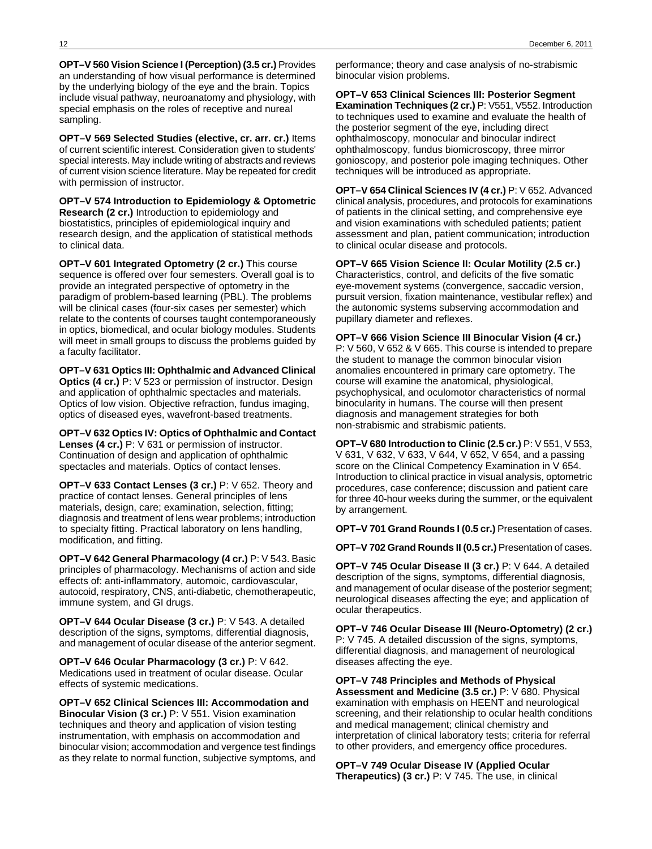**OPT–V 560 Vision Science I (Perception) (3.5 cr.)** Provides an understanding of how visual performance is determined by the underlying biology of the eye and the brain. Topics include visual pathway, neuroanatomy and physiology, with special emphasis on the roles of receptive and nureal sampling.

**OPT–V 569 Selected Studies (elective, cr. arr. cr.)** Items of current scientific interest. Consideration given to students' special interests. May include writing of abstracts and reviews of current vision science literature. May be repeated for credit with permission of instructor.

**OPT–V 574 Introduction to Epidemiology & Optometric Research (2 cr.)** Introduction to epidemiology and biostatistics, principles of epidemiological inquiry and research design, and the application of statistical methods to clinical data.

**OPT–V 601 Integrated Optometry (2 cr.)** This course sequence is offered over four semesters. Overall goal is to provide an integrated perspective of optometry in the paradigm of problem-based learning (PBL). The problems will be clinical cases (four-six cases per semester) which relate to the contents of courses taught contemporaneously in optics, biomedical, and ocular biology modules. Students will meet in small groups to discuss the problems guided by a faculty facilitator.

**OPT–V 631 Optics III: Ophthalmic and Advanced Clinical Optics (4 cr.)** P: V 523 or permission of instructor. Design and application of ophthalmic spectacles and materials. Optics of low vision. Objective refraction, fundus imaging, optics of diseased eyes, wavefront-based treatments.

**OPT–V 632 Optics IV: Optics of Ophthalmic and Contact Lenses (4 cr.)** P: V 631 or permission of instructor. Continuation of design and application of ophthalmic spectacles and materials. Optics of contact lenses.

**OPT–V 633 Contact Lenses (3 cr.)** P: V 652. Theory and practice of contact lenses. General principles of lens materials, design, care; examination, selection, fitting; diagnosis and treatment of lens wear problems; introduction to specialty fitting. Practical laboratory on lens handling, modification, and fitting.

**OPT–V 642 General Pharmacology (4 cr.)** P: V 543. Basic principles of pharmacology. Mechanisms of action and side effects of: anti-inflammatory, automoic, cardiovascular, autocoid, respiratory, CNS, anti-diabetic, chemotherapeutic, immune system, and GI drugs.

**OPT–V 644 Ocular Disease (3 cr.)** P: V 543. A detailed description of the signs, symptoms, differential diagnosis, and management of ocular disease of the anterior segment.

**OPT–V 646 Ocular Pharmacology (3 cr.)** P: V 642. Medications used in treatment of ocular disease. Ocular effects of systemic medications.

**OPT–V 652 Clinical Sciences III: Accommodation and Binocular Vision (3 cr.)** P: V 551. Vision examination techniques and theory and application of vision testing instrumentation, with emphasis on accommodation and binocular vision; accommodation and vergence test findings as they relate to normal function, subjective symptoms, and

performance; theory and case analysis of no-strabismic binocular vision problems.

**OPT–V 653 Clinical Sciences III: Posterior Segment Examination Techniques (2 cr.)** P: V551, V552. Introduction to techniques used to examine and evaluate the health of the posterior segment of the eye, including direct ophthalmoscopy, monocular and binocular indirect ophthalmoscopy, fundus biomicroscopy, three mirror gonioscopy, and posterior pole imaging techniques. Other techniques will be introduced as appropriate.

**OPT–V 654 Clinical Sciences IV (4 cr.)** P: V 652. Advanced clinical analysis, procedures, and protocols for examinations of patients in the clinical setting, and comprehensive eye and vision examinations with scheduled patients; patient assessment and plan, patient communication; introduction to clinical ocular disease and protocols.

**OPT–V 665 Vision Science II: Ocular Motility (2.5 cr.)** Characteristics, control, and deficits of the five somatic eye-movement systems (convergence, saccadic version, pursuit version, fixation maintenance, vestibular reflex) and the autonomic systems subserving accommodation and pupillary diameter and reflexes.

**OPT–V 666 Vision Science III Binocular Vision (4 cr.)** P: V 560, V 652 & V 665. This course is intended to prepare the student to manage the common binocular vision anomalies encountered in primary care optometry. The course will examine the anatomical, physiological, psychophysical, and oculomotor characteristics of normal binocularity in humans. The course will then present diagnosis and management strategies for both non-strabismic and strabismic patients.

**OPT–V 680 Introduction to Clinic (2.5 cr.)** P: V 551, V 553, V 631, V 632, V 633, V 644, V 652, V 654, and a passing score on the Clinical Competency Examination in V 654. Introduction to clinical practice in visual analysis, optometric procedures, case conference; discussion and patient care for three 40-hour weeks during the summer, or the equivalent by arrangement.

**OPT–V 701 Grand Rounds I (0.5 cr.)** Presentation of cases.

**OPT–V 702 Grand Rounds II (0.5 cr.)** Presentation of cases.

**OPT–V 745 Ocular Disease II (3 cr.)** P: V 644. A detailed description of the signs, symptoms, differential diagnosis, and management of ocular disease of the posterior segment; neurological diseases affecting the eye; and application of ocular therapeutics.

**OPT–V 746 Ocular Disease III (Neuro-Optometry) (2 cr.)** P: V 745. A detailed discussion of the signs, symptoms, differential diagnosis, and management of neurological diseases affecting the eye.

**OPT–V 748 Principles and Methods of Physical Assessment and Medicine (3.5 cr.)** P: V 680. Physical examination with emphasis on HEENT and neurological screening, and their relationship to ocular health conditions and medical management; clinical chemistry and interpretation of clinical laboratory tests; criteria for referral to other providers, and emergency office procedures.

**OPT–V 749 Ocular Disease IV (Applied Ocular Therapeutics) (3 cr.)** P: V 745. The use, in clinical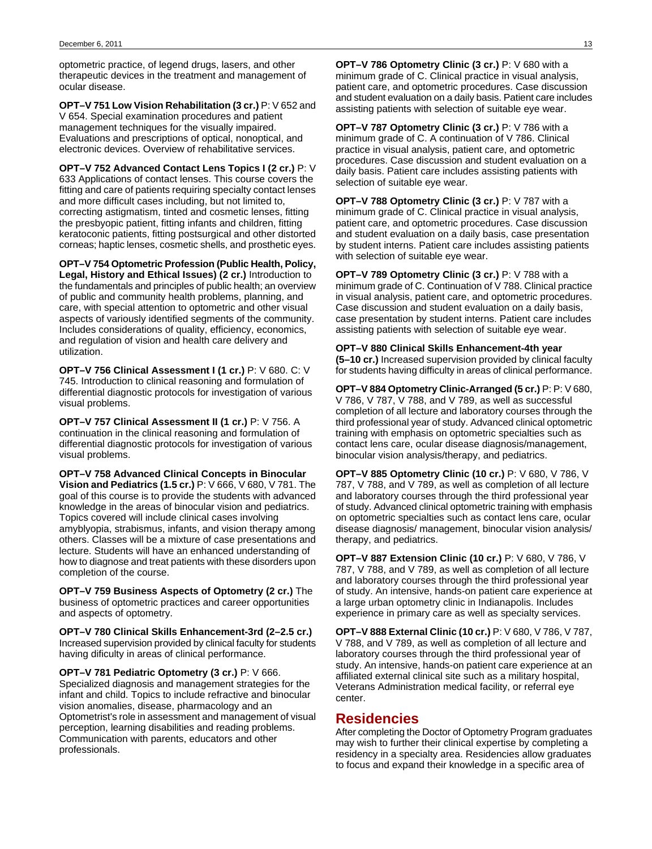optometric practice, of legend drugs, lasers, and other therapeutic devices in the treatment and management of ocular disease.

**OPT–V 751 Low Vision Rehabilitation (3 cr.)** P: V 652 and V 654. Special examination procedures and patient management techniques for the visually impaired. Evaluations and prescriptions of optical, nonoptical, and electronic devices. Overview of rehabilitative services.

**OPT–V 752 Advanced Contact Lens Topics I (2 cr.)** P: V 633 Applications of contact lenses. This course covers the fitting and care of patients requiring specialty contact lenses and more difficult cases including, but not limited to, correcting astigmatism, tinted and cosmetic lenses, fitting the presbyopic patient, fitting infants and children, fitting keratoconic patients, fitting postsurgical and other distorted corneas; haptic lenses, cosmetic shells, and prosthetic eyes.

**OPT–V 754 Optometric Profession (Public Health, Policy, Legal, History and Ethical Issues) (2 cr.)** Introduction to the fundamentals and principles of public health; an overview of public and community health problems, planning, and care, with special attention to optometric and other visual aspects of variously identified segments of the community. Includes considerations of quality, efficiency, economics, and regulation of vision and health care delivery and utilization.

**OPT–V 756 Clinical Assessment I (1 cr.)** P: V 680. C: V 745. Introduction to clinical reasoning and formulation of differential diagnostic protocols for investigation of various visual problems.

**OPT–V 757 Clinical Assessment II (1 cr.)** P: V 756. A continuation in the clinical reasoning and formulation of differential diagnostic protocols for investigation of various visual problems.

**OPT–V 758 Advanced Clinical Concepts in Binocular Vision and Pediatrics (1.5 cr.)** P: V 666, V 680, V 781. The goal of this course is to provide the students with advanced knowledge in the areas of binocular vision and pediatrics. Topics covered will include clinical cases involving amyblyopia, strabismus, infants, and vision therapy among others. Classes will be a mixture of case presentations and lecture. Students will have an enhanced understanding of how to diagnose and treat patients with these disorders upon completion of the course.

**OPT–V 759 Business Aspects of Optometry (2 cr.)** The business of optometric practices and career opportunities and aspects of optometry.

**OPT–V 780 Clinical Skills Enhancement-3rd (2–2.5 cr.)** Increased supervision provided by clinical faculty for students having dificulty in areas of clinical performance.

**OPT–V 781 Pediatric Optometry (3 cr.)** P: V 666. Specialized diagnosis and management strategies for the infant and child. Topics to include refractive and binocular vision anomalies, disease, pharmacology and an Optometrist's role in assessment and management of visual perception, learning disabilities and reading problems. Communication with parents, educators and other professionals.

**OPT–V 786 Optometry Clinic (3 cr.)** P: V 680 with a minimum grade of C. Clinical practice in visual analysis, patient care, and optometric procedures. Case discussion and student evaluation on a daily basis. Patient care includes assisting patients with selection of suitable eye wear.

**OPT–V 787 Optometry Clinic (3 cr.)** P: V 786 with a minimum grade of C. A continuation of V 786. Clinical practice in visual analysis, patient care, and optometric procedures. Case discussion and student evaluation on a daily basis. Patient care includes assisting patients with selection of suitable eye wear.

**OPT–V 788 Optometry Clinic (3 cr.)** P: V 787 with a minimum grade of C. Clinical practice in visual analysis, patient care, and optometric procedures. Case discussion and student evaluation on a daily basis, case presentation by student interns. Patient care includes assisting patients with selection of suitable eye wear.

**OPT–V 789 Optometry Clinic (3 cr.)** P: V 788 with a minimum grade of C. Continuation of V 788. Clinical practice in visual analysis, patient care, and optometric procedures. Case discussion and student evaluation on a daily basis, case presentation by student interns. Patient care includes assisting patients with selection of suitable eye wear.

**OPT–V 880 Clinical Skills Enhancement-4th year (5–10 cr.)** Increased supervision provided by clinical faculty for students having difficulty in areas of clinical performance.

**OPT–V 884 Optometry Clinic-Arranged (5 cr.)** P: P: V 680, V 786, V 787, V 788, and V 789, as well as successful completion of all lecture and laboratory courses through the third professional year of study. Advanced clinical optometric training with emphasis on optometric specialties such as contact lens care, ocular disease diagnosis/management, binocular vision analysis/therapy, and pediatrics.

**OPT–V 885 Optometry Clinic (10 cr.)** P: V 680, V 786, V 787, V 788, and V 789, as well as completion of all lecture and laboratory courses through the third professional year of study. Advanced clinical optometric training with emphasis on optometric specialties such as contact lens care, ocular disease diagnosis/ management, binocular vision analysis/ therapy, and pediatrics.

**OPT–V 887 Extension Clinic (10 cr.)** P: V 680, V 786, V 787, V 788, and V 789, as well as completion of all lecture and laboratory courses through the third professional year of study. An intensive, hands-on patient care experience at a large urban optometry clinic in Indianapolis. Includes experience in primary care as well as specialty services.

**OPT–V 888 External Clinic (10 cr.)** P: V 680, V 786, V 787, V 788, and V 789, as well as completion of all lecture and laboratory courses through the third professional year of study. An intensive, hands-on patient care experience at an affiliated external clinical site such as a military hospital, Veterans Administration medical facility, or referral eye center.

### **Residencies**

After completing the Doctor of Optometry Program graduates may wish to further their clinical expertise by completing a residency in a specialty area. Residencies allow graduates to focus and expand their knowledge in a specific area of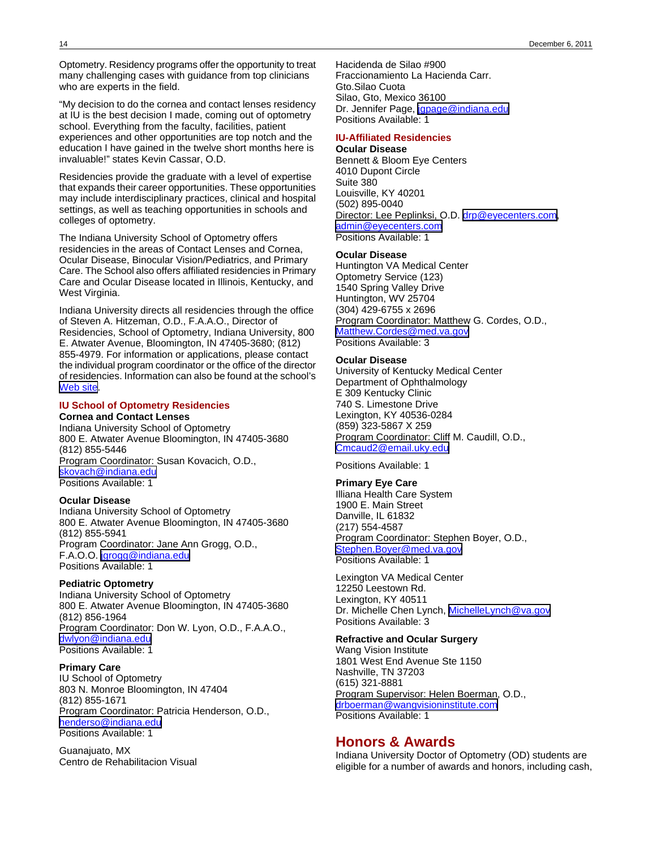Optometry. Residency programs offer the opportunity to treat many challenging cases with guidance from top clinicians who are experts in the field.

"My decision to do the cornea and contact lenses residency at IU is the best decision I made, coming out of optometry school. Everything from the faculty, facilities, patient experiences and other opportunities are top notch and the education I have gained in the twelve short months here is invaluable!" states Kevin Cassar, O.D.

Residencies provide the graduate with a level of expertise that expands their career opportunities. These opportunities may include interdisciplinary practices, clinical and hospital settings, as well as teaching opportunities in schools and colleges of optometry.

The Indiana University School of Optometry offers residencies in the areas of Contact Lenses and Cornea, Ocular Disease, Binocular Vision/Pediatrics, and Primary Care. The School also offers affiliated residencies in Primary Care and Ocular Disease located in Illinois, Kentucky, and West Virginia.

Indiana University directs all residencies through the office of Steven A. Hitzeman, O.D., F.A.A.O., Director of Residencies, School of Optometry, Indiana University, 800 E. Atwater Avenue, Bloomington, IN 47405-3680; (812) 855-4979. For information or applications, please contact the individual program coordinator or the office of the director of residencies. Information can also be found at the school's [Web site](http://www.opt.indiana.edu/Residency.aspx).

## **IU School of Optometry Residencies**

### **Cornea and Contact Lenses**

Indiana University School of Optometry 800 E. Atwater Avenue Bloomington, IN 47405-3680 (812) 855-5446 Program Coordinator: Susan Kovacich, O.D., [skovach@indiana.edu](mailto:skovach@indiana.edu) Positions Available: 1

### **Ocular Disease**

Indiana University School of Optometry 800 E. Atwater Avenue Bloomington, IN 47405-3680 (812) 855-5941 Program Coordinator: Jane Ann Grogg, O.D., F.A.O.O. [jgrogg@indiana.edu](mailto:jgrogg@indiana.edu) Positions Available: 1

### **Pediatric Optometry**

Indiana University School of Optometry 800 E. Atwater Avenue Bloomington, IN 47405-3680 (812) 856-1964 Program Coordinator: Don W. Lyon, O.D., F.A.A.O., [dwlyon@indiana.edu](mailto:dwlyon@indiana.edu) Positions Available: 1

#### **Primary Care**

IU School of Optometry 803 N. Monroe Bloomington, IN 47404 (812) 855-1671 Program Coordinator: Patricia Henderson, O.D., [henderso@indiana.edu](mailto:henderso@indiana.edu) Positions Available: 1

Guanajuato, MX Centro de Rehabilitacion Visual Hacidenda de Silao #900 Fraccionamiento La Hacienda Carr. Gto.Silao Cuota Silao, Gto, Mexico 36100 Dr. Jennifer Page, [jgpage@indiana.edu](mailto:jgpage@indiana.edu) Positions Available: 1

## **IU-Affiliated Residencies**

**Ocular Disease** Bennett & Bloom Eye Centers 4010 Dupont Circle Suite 380 Louisville, KY 40201 (502) 895-0040 Director: Lee Peplinksi, O.D. [drp@eyecenters.com,](mailto:drp@eyecenters.com) [admin@eyecenters.com](mailto:admin@eyecenters.com) Positions Available: 1

#### **Ocular Disease**

Huntington VA Medical Center Optometry Service (123) 1540 Spring Valley Drive Huntington, WV 25704 (304) 429-6755 x 2696 Program Coordinator: Matthew G. Cordes, O.D., [Matthew.Cordes@med.va.gov](mailto:Matthew.Cordes@med.va.gov) Positions Available: 3

### **Ocular Disease**

University of Kentucky Medical Center Department of Ophthalmology E 309 Kentucky Clinic 740 S. Limestone Drive Lexington, KY 40536-0284 (859) 323-5867 X 259 Program Coordinator: Cliff M. Caudill, O.D., [Cmcaud2@email.uky.edu](mailto:Cmcaud2@email.uky.edu)

Positions Available: 1

#### **Primary Eye Care**

Illiana Health Care System 1900 E. Main Street Danville, IL 61832 (217) 554-4587 Program Coordinator: Stephen Boyer, O.D., [Stephen.Boyer@med.va.gov](mailto:Stephen.Boyer@med.va.gov) Positions Available: 1

Lexington VA Medical Center 12250 Leestown Rd. Lexington, KY 40511 Dr. Michelle Chen Lynch, [MichelleLynch@va.gov](mailto:MichelleLynch@va.gov) Positions Available: 3

#### **Refractive and Ocular Surgery**

Wang Vision Institute 1801 West End Avenue Ste 1150 Nashville, TN 37203 (615) 321-8881 Program Supervisor: Helen Boerman, O.D., [drboerman@wangvisioninstitute.com](mailto:drboerman@wangvisioninstitute.com) Positions Available: 1

### **Honors & Awards**

Indiana University Doctor of Optometry (OD) students are eligible for a number of awards and honors, including cash,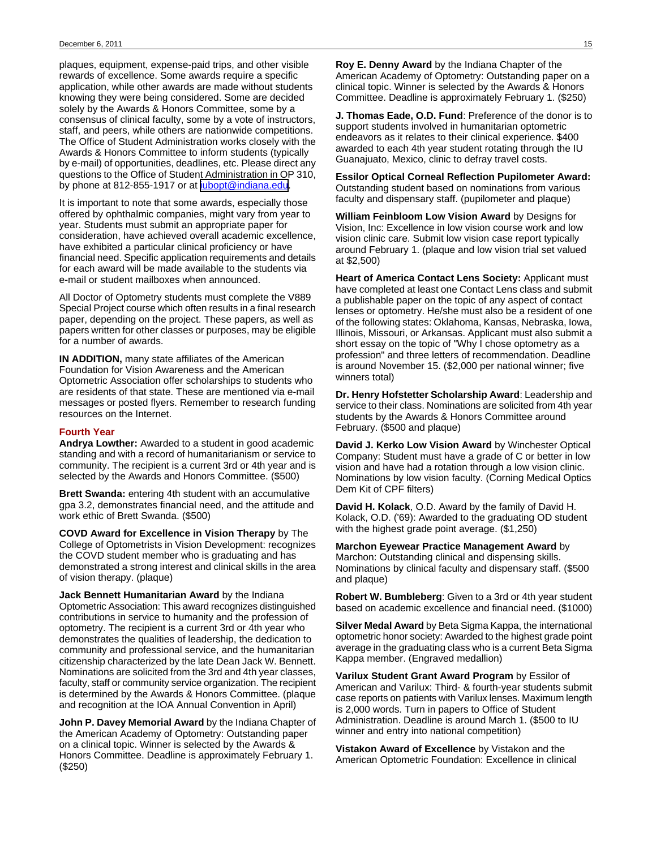plaques, equipment, expense-paid trips, and other visible rewards of excellence. Some awards require a specific application, while other awards are made without students knowing they were being considered. Some are decided solely by the Awards & Honors Committee, some by a consensus of clinical faculty, some by a vote of instructors, staff, and peers, while others are nationwide competitions. The Office of Student Administration works closely with the Awards & Honors Committee to inform students (typically by e-mail) of opportunities, deadlines, etc. Please direct any questions to the Office of Student Administration in OP 310, by phone at 812-855-1917 or at *iubopt@indiana.edu*.

It is important to note that some awards, especially those offered by ophthalmic companies, might vary from year to year. Students must submit an appropriate paper for consideration, have achieved overall academic excellence, have exhibited a particular clinical proficiency or have financial need. Specific application requirements and details for each award will be made available to the students via e-mail or student mailboxes when announced.

All Doctor of Optometry students must complete the V889 Special Project course which often results in a final research paper, depending on the project. These papers, as well as papers written for other classes or purposes, may be eligible for a number of awards.

**IN ADDITION,** many state affiliates of the American Foundation for Vision Awareness and the American Optometric Association offer scholarships to students who are residents of that state. These are mentioned via e-mail messages or posted flyers. Remember to research funding resources on the Internet.

#### **Fourth Year**

**Andrya Lowther:** Awarded to a student in good academic standing and with a record of humanitarianism or service to community. The recipient is a current 3rd or 4th year and is selected by the Awards and Honors Committee. (\$500)

**Brett Swanda:** entering 4th student with an accumulative gpa 3.2, demonstrates financial need, and the attitude and work ethic of Brett Swanda. (\$500)

**COVD Award for Excellence in Vision Therapy** by The College of Optometrists in Vision Development: recognizes the COVD student member who is graduating and has demonstrated a strong interest and clinical skills in the area of vision therapy. (plaque)

**Jack Bennett Humanitarian Award** by the Indiana Optometric Association: This award recognizes distinguished contributions in service to humanity and the profession of optometry. The recipient is a current 3rd or 4th year who demonstrates the qualities of leadership, the dedication to community and professional service, and the humanitarian citizenship characterized by the late Dean Jack W. Bennett. Nominations are solicited from the 3rd and 4th year classes, faculty, staff or community service organization. The recipient is determined by the Awards & Honors Committee. (plaque and recognition at the IOA Annual Convention in April)

**John P. Davey Memorial Award** by the Indiana Chapter of the American Academy of Optometry: Outstanding paper on a clinical topic. Winner is selected by the Awards & Honors Committee. Deadline is approximately February 1. (\$250)

**Roy E. Denny Award** by the Indiana Chapter of the American Academy of Optometry: Outstanding paper on a clinical topic. Winner is selected by the Awards & Honors Committee. Deadline is approximately February 1. (\$250)

**J. Thomas Eade, O.D. Fund**: Preference of the donor is to support students involved in humanitarian optometric endeavors as it relates to their clinical experience. \$400 awarded to each 4th year student rotating through the IU Guanajuato, Mexico, clinic to defray travel costs.

**Essilor Optical Corneal Reflection Pupilometer Award:** Outstanding student based on nominations from various faculty and dispensary staff. (pupilometer and plaque)

**William Feinbloom Low Vision Award** by Designs for Vision, Inc: Excellence in low vision course work and low vision clinic care. Submit low vision case report typically around February 1. (plaque and low vision trial set valued at \$2,500)

**Heart of America Contact Lens Society:** Applicant must have completed at least one Contact Lens class and submit a publishable paper on the topic of any aspect of contact lenses or optometry. He/she must also be a resident of one of the following states: Oklahoma, Kansas, Nebraska, Iowa, Illinois, Missouri, or Arkansas. Applicant must also submit a short essay on the topic of "Why I chose optometry as a profession" and three letters of recommendation. Deadline is around November 15. (\$2,000 per national winner; five winners total)

**Dr. Henry Hofstetter Scholarship Award**: Leadership and service to their class. Nominations are solicited from 4th year students by the Awards & Honors Committee around February. (\$500 and plaque)

**David J. Kerko Low Vision Award** by Winchester Optical Company: Student must have a grade of C or better in low vision and have had a rotation through a low vision clinic. Nominations by low vision faculty. (Corning Medical Optics Dem Kit of CPF filters)

**David H. Kolack**, O.D. Award by the family of David H. Kolack, O.D. ('69): Awarded to the graduating OD student with the highest grade point average. (\$1,250)

**Marchon Eyewear Practice Management Award** by Marchon: Outstanding clinical and dispensing skills. Nominations by clinical faculty and dispensary staff. (\$500 and plaque)

**Robert W. Bumbleberg**: Given to a 3rd or 4th year student based on academic excellence and financial need. (\$1000)

**Silver Medal Award** by Beta Sigma Kappa, the international optometric honor society: Awarded to the highest grade point average in the graduating class who is a current Beta Sigma Kappa member. (Engraved medallion)

**Varilux Student Grant Award Program** by Essilor of American and Varilux: Third- & fourth-year students submit case reports on patients with Varilux lenses. Maximum length is 2,000 words. Turn in papers to Office of Student Administration. Deadline is around March 1. (\$500 to IU winner and entry into national competition)

**Vistakon Award of Excellence** by Vistakon and the American Optometric Foundation: Excellence in clinical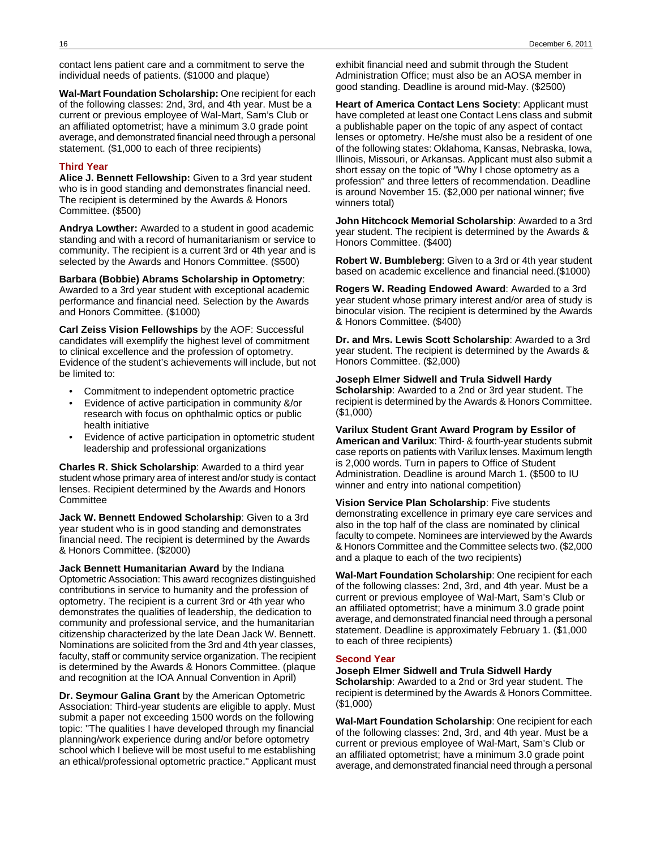contact lens patient care and a commitment to serve the individual needs of patients. (\$1000 and plaque)

**Wal-Mart Foundation Scholarship:** One recipient for each of the following classes: 2nd, 3rd, and 4th year. Must be a current or previous employee of Wal-Mart, Sam's Club or an affiliated optometrist; have a minimum 3.0 grade point average, and demonstrated financial need through a personal statement. (\$1,000 to each of three recipients)

#### **Third Year**

**Alice J. Bennett Fellowship:** Given to a 3rd year student who is in good standing and demonstrates financial need. The recipient is determined by the Awards & Honors Committee. (\$500)

**Andrya Lowther:** Awarded to a student in good academic standing and with a record of humanitarianism or service to community. The recipient is a current 3rd or 4th year and is selected by the Awards and Honors Committee. (\$500)

**Barbara (Bobbie) Abrams Scholarship in Optometry**: Awarded to a 3rd year student with exceptional academic performance and financial need. Selection by the Awards and Honors Committee. (\$1000)

**Carl Zeiss Vision Fellowships** by the AOF: Successful candidates will exemplify the highest level of commitment to clinical excellence and the profession of optometry. Evidence of the student's achievements will include, but not be limited to:

- Commitment to independent optometric practice
- Evidence of active participation in community &/or research with focus on ophthalmic optics or public health initiative
- Evidence of active participation in optometric student leadership and professional organizations

**Charles R. Shick Scholarship**: Awarded to a third year student whose primary area of interest and/or study is contact lenses. Recipient determined by the Awards and Honors **Committee** 

**Jack W. Bennett Endowed Scholarship**: Given to a 3rd year student who is in good standing and demonstrates financial need. The recipient is determined by the Awards & Honors Committee. (\$2000)

**Jack Bennett Humanitarian Award** by the Indiana Optometric Association: This award recognizes distinguished contributions in service to humanity and the profession of optometry. The recipient is a current 3rd or 4th year who demonstrates the qualities of leadership, the dedication to community and professional service, and the humanitarian citizenship characterized by the late Dean Jack W. Bennett. Nominations are solicited from the 3rd and 4th year classes, faculty, staff or community service organization. The recipient is determined by the Awards & Honors Committee. (plaque and recognition at the IOA Annual Convention in April)

**Dr. Seymour Galina Grant** by the American Optometric Association: Third-year students are eligible to apply. Must submit a paper not exceeding 1500 words on the following topic: "The qualities I have developed through my financial planning/work experience during and/or before optometry school which I believe will be most useful to me establishing an ethical/professional optometric practice." Applicant must

exhibit financial need and submit through the Student Administration Office; must also be an AOSA member in good standing. Deadline is around mid-May. (\$2500)

**Heart of America Contact Lens Society**: Applicant must have completed at least one Contact Lens class and submit a publishable paper on the topic of any aspect of contact lenses or optometry. He/she must also be a resident of one of the following states: Oklahoma, Kansas, Nebraska, Iowa, Illinois, Missouri, or Arkansas. Applicant must also submit a short essay on the topic of "Why I chose optometry as a profession" and three letters of recommendation. Deadline is around November 15. (\$2,000 per national winner; five winners total)

**John Hitchcock Memorial Scholarship**: Awarded to a 3rd year student. The recipient is determined by the Awards & Honors Committee. (\$400)

**Robert W. Bumbleberg**: Given to a 3rd or 4th year student based on academic excellence and financial need.(\$1000)

**Rogers W. Reading Endowed Award**: Awarded to a 3rd year student whose primary interest and/or area of study is binocular vision. The recipient is determined by the Awards & Honors Committee. (\$400)

**Dr. and Mrs. Lewis Scott Scholarship**: Awarded to a 3rd year student. The recipient is determined by the Awards & Honors Committee. (\$2,000)

**Joseph Elmer Sidwell and Trula Sidwell Hardy Scholarship**: Awarded to a 2nd or 3rd year student. The recipient is determined by the Awards & Honors Committee. (\$1,000)

**Varilux Student Grant Award Program by Essilor of American and Varilux**: Third- & fourth-year students submit case reports on patients with Varilux lenses. Maximum length is 2,000 words. Turn in papers to Office of Student Administration. Deadline is around March 1. (\$500 to IU winner and entry into national competition)

**Vision Service Plan Scholarship**: Five students demonstrating excellence in primary eye care services and also in the top half of the class are nominated by clinical faculty to compete. Nominees are interviewed by the Awards & Honors Committee and the Committee selects two. (\$2,000 and a plaque to each of the two recipients)

**Wal-Mart Foundation Scholarship**: One recipient for each of the following classes: 2nd, 3rd, and 4th year. Must be a current or previous employee of Wal-Mart, Sam's Club or an affiliated optometrist; have a minimum 3.0 grade point average, and demonstrated financial need through a personal statement. Deadline is approximately February 1. (\$1,000 to each of three recipients)

#### **Second Year**

**Joseph Elmer Sidwell and Trula Sidwell Hardy**

**Scholarship**: Awarded to a 2nd or 3rd year student. The recipient is determined by the Awards & Honors Committee. (\$1,000)

**Wal-Mart Foundation Scholarship**: One recipient for each of the following classes: 2nd, 3rd, and 4th year. Must be a current or previous employee of Wal-Mart, Sam's Club or an affiliated optometrist; have a minimum 3.0 grade point average, and demonstrated financial need through a personal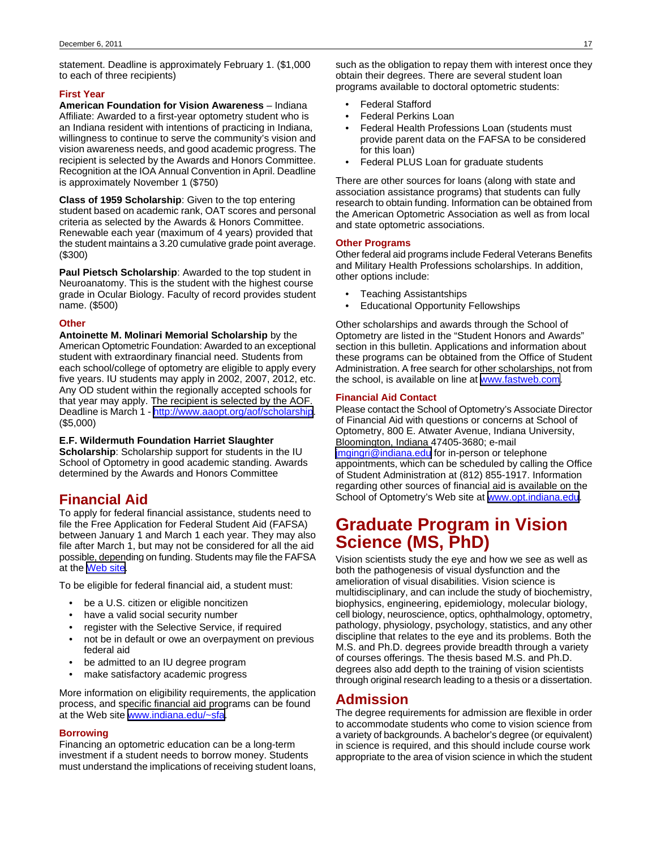statement. Deadline is approximately February 1. (\$1,000 to each of three recipients)

#### **First Year**

**American Foundation for Vision Awareness** – Indiana Affiliate: Awarded to a first-year optometry student who is an Indiana resident with intentions of practicing in Indiana, willingness to continue to serve the community's vision and vision awareness needs, and good academic progress. The recipient is selected by the Awards and Honors Committee. Recognition at the IOA Annual Convention in April. Deadline is approximately November 1 (\$750)

**Class of 1959 Scholarship**: Given to the top entering student based on academic rank, OAT scores and personal criteria as selected by the Awards & Honors Committee. Renewable each year (maximum of 4 years) provided that the student maintains a 3.20 cumulative grade point average. (\$300)

**Paul Pietsch Scholarship**: Awarded to the top student in Neuroanatomy. This is the student with the highest course grade in Ocular Biology. Faculty of record provides student name. (\$500)

#### **Other**

**Antoinette M. Molinari Memorial Scholarship** by the American Optometric Foundation: Awarded to an exceptional student with extraordinary financial need. Students from each school/college of optometry are eligible to apply every five years. IU students may apply in 2002, 2007, 2012, etc. Any OD student within the regionally accepted schools for that year may apply. The recipient is selected by the AOF. Deadline is March 1 - [http://www.aaopt.org/aof/scholarship.](http://www.aaopt.org/aof/scholarship/) (\$5,000)

#### **E.F. Wildermuth Foundation Harriet Slaughter**

**Scholarship**: Scholarship support for students in the IU School of Optometry in good academic standing. Awards determined by the Awards and Honors Committee

# **Financial Aid**

To apply for federal financial assistance, students need to file the Free Application for Federal Student Aid (FAFSA) between January 1 and March 1 each year. They may also file after March 1, but may not be considered for all the aid possible, depending on funding. Students may file the FAFSA at the [Web site](http://www.fafsa.ed.gov).

To be eligible for federal financial aid, a student must:

- be a U.S. citizen or eligible noncitizen
- have a valid social security number
- register with the Selective Service, if required
- not be in default or owe an overpayment on previous federal aid
- be admitted to an IU degree program
- make satisfactory academic progress

More information on eligibility requirements, the application process, and specific financial aid programs can be found at the Web site [www.indiana.edu/~sfa.](http://www.indiana.edu/~sfa)

### **Borrowing**

Financing an optometric education can be a long-term investment if a student needs to borrow money. Students must understand the implications of receiving student loans,

such as the obligation to repay them with interest once they obtain their degrees. There are several student loan programs available to doctoral optometric students:

- **Federal Stafford**
- Federal Perkins Loan
- Federal Health Professions Loan (students must provide parent data on the FAFSA to be considered for this loan)
- Federal PLUS Loan for graduate students

There are other sources for loans (along with state and association assistance programs) that students can fully research to obtain funding. Information can be obtained from the American Optometric Association as well as from local and state optometric associations.

#### **Other Programs**

Other federal aid programs include Federal Veterans Benefits and Military Health Professions scholarships. In addition, other options include:

- Teaching Assistantships
- Educational Opportunity Fellowships

Other scholarships and awards through the School of Optometry are listed in the "Student Honors and Awards" section in this bulletin. Applications and information about these programs can be obtained from the Office of Student Administration. A free search for other scholarships, not from the school, is available on line at [www.fastweb.com.](http://www.fastweb.com)

#### **Financial Aid Contact**

Please contact the School of Optometry's Associate Director of Financial Aid with questions or concerns at School of Optometry, 800 E. Atwater Avenue, Indiana University, Bloomington, Indiana 47405-3680; e-mail [jmgingri@indiana.edu](mailto:jmgingri@indiana.edu) for in-person or telephone appointments, which can be scheduled by calling the Office of Student Administration at (812) 855-1917. Information regarding other sources of financial aid is available on the School of Optometry's Web site at [www.opt.indiana.edu](http://www.opt.indiana.edu).

# **Graduate Program in Vision Science (MS, PhD)**

Vision scientists study the eye and how we see as well as both the pathogenesis of visual dysfunction and the amelioration of visual disabilities. Vision science is multidisciplinary, and can include the study of biochemistry, biophysics, engineering, epidemiology, molecular biology, cell biology, neuroscience, optics, ophthalmology, optometry, pathology, physiology, psychology, statistics, and any other discipline that relates to the eye and its problems. Both the M.S. and Ph.D. degrees provide breadth through a variety of courses offerings. The thesis based M.S. and Ph.D. degrees also add depth to the training of vision scientists through original research leading to a thesis or a dissertation.

# **Admission**

The degree requirements for admission are flexible in order to accommodate students who come to vision science from a variety of backgrounds. A bachelor's degree (or equivalent) in science is required, and this should include course work appropriate to the area of vision science in which the student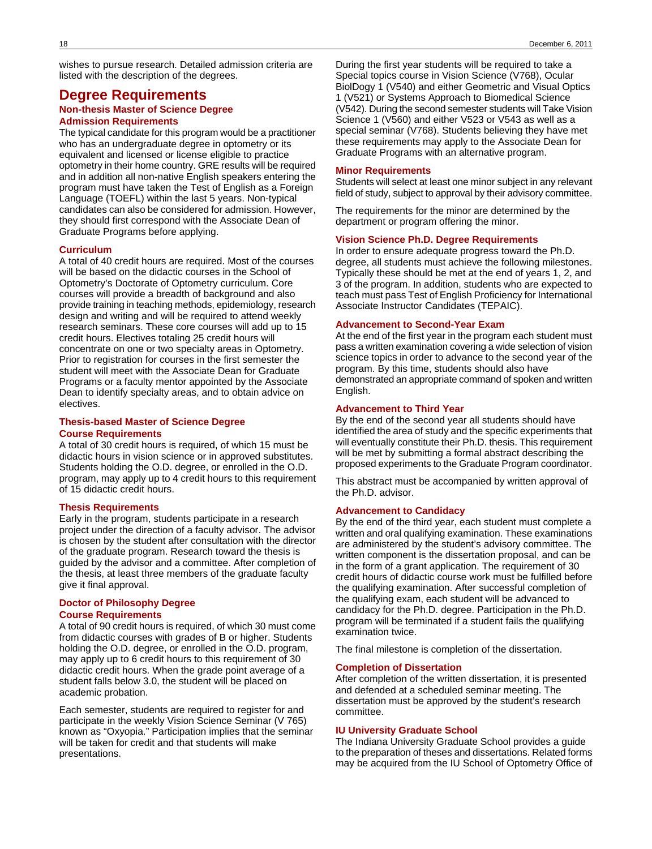wishes to pursue research. Detailed admission criteria are listed with the description of the degrees.

### **Degree Requirements Non-thesis Master of Science Degree Admission Requirements**

The typical candidate for this program would be a practitioner who has an undergraduate degree in optometry or its equivalent and licensed or license eligible to practice optometry in their home country. GRE results will be required and in addition all non-native English speakers entering the program must have taken the Test of English as a Foreign Language (TOEFL) within the last 5 years. Non-typical candidates can also be considered for admission. However, they should first correspond with the Associate Dean of Graduate Programs before applying.

### **Curriculum**

A total of 40 credit hours are required. Most of the courses will be based on the didactic courses in the School of Optometry's Doctorate of Optometry curriculum. Core courses will provide a breadth of background and also provide training in teaching methods, epidemiology, research design and writing and will be required to attend weekly research seminars. These core courses will add up to 15 credit hours. Electives totaling 25 credit hours will concentrate on one or two specialty areas in Optometry. Prior to registration for courses in the first semester the student will meet with the Associate Dean for Graduate Programs or a faculty mentor appointed by the Associate Dean to identify specialty areas, and to obtain advice on electives.

### **Thesis-based Master of Science Degree Course Requirements**

A total of 30 credit hours is required, of which 15 must be didactic hours in vision science or in approved substitutes. Students holding the O.D. degree, or enrolled in the O.D. program, may apply up to 4 credit hours to this requirement of 15 didactic credit hours.

#### **Thesis Requirements**

Early in the program, students participate in a research project under the direction of a faculty advisor. The advisor is chosen by the student after consultation with the director of the graduate program. Research toward the thesis is guided by the advisor and a committee. After completion of the thesis, at least three members of the graduate faculty give it final approval.

### **Doctor of Philosophy Degree**

#### **Course Requirements**

A total of 90 credit hours is required, of which 30 must come from didactic courses with grades of B or higher. Students holding the O.D. degree, or enrolled in the O.D. program, may apply up to 6 credit hours to this requirement of 30 didactic credit hours. When the grade point average of a student falls below 3.0, the student will be placed on academic probation.

Each semester, students are required to register for and participate in the weekly Vision Science Seminar (V 765) known as "Oxyopia." Participation implies that the seminar will be taken for credit and that students will make presentations.

During the first year students will be required to take a Special topics course in Vision Science (V768), Ocular BiolDogy 1 (V540) and either Geometric and Visual Optics 1 (V521) or Systems Approach to Biomedical Science (V542). During the second semester students will Take Vision Science 1 (V560) and either V523 or V543 as well as a special seminar (V768). Students believing they have met these requirements may apply to the Associate Dean for Graduate Programs with an alternative program.

#### **Minor Requirements**

Students will select at least one minor subject in any relevant field of study, subject to approval by their advisory committee.

The requirements for the minor are determined by the department or program offering the minor.

#### **Vision Science Ph.D. Degree Requirements**

In order to ensure adequate progress toward the Ph.D. degree, all students must achieve the following milestones. Typically these should be met at the end of years 1, 2, and 3 of the program. In addition, students who are expected to teach must pass Test of English Proficiency for International Associate Instructor Candidates (TEPAIC).

#### **Advancement to Second-Year Exam**

At the end of the first year in the program each student must pass a written examination covering a wide selection of vision science topics in order to advance to the second year of the program. By this time, students should also have demonstrated an appropriate command of spoken and written English.

### **Advancement to Third Year**

By the end of the second year all students should have identified the area of study and the specific experiments that will eventually constitute their Ph.D. thesis. This requirement will be met by submitting a formal abstract describing the proposed experiments to the Graduate Program coordinator.

This abstract must be accompanied by written approval of the Ph.D. advisor.

#### **Advancement to Candidacy**

By the end of the third year, each student must complete a written and oral qualifying examination. These examinations are administered by the student's advisory committee. The written component is the dissertation proposal, and can be in the form of a grant application. The requirement of 30 credit hours of didactic course work must be fulfilled before the qualifying examination. After successful completion of the qualifying exam, each student will be advanced to candidacy for the Ph.D. degree. Participation in the Ph.D. program will be terminated if a student fails the qualifying examination twice.

The final milestone is completion of the dissertation.

#### **Completion of Dissertation**

After completion of the written dissertation, it is presented and defended at a scheduled seminar meeting. The dissertation must be approved by the student's research committee.

#### **IU University Graduate School**

The Indiana University Graduate School provides a guide to the preparation of theses and dissertations. Related forms may be acquired from the IU School of Optometry Office of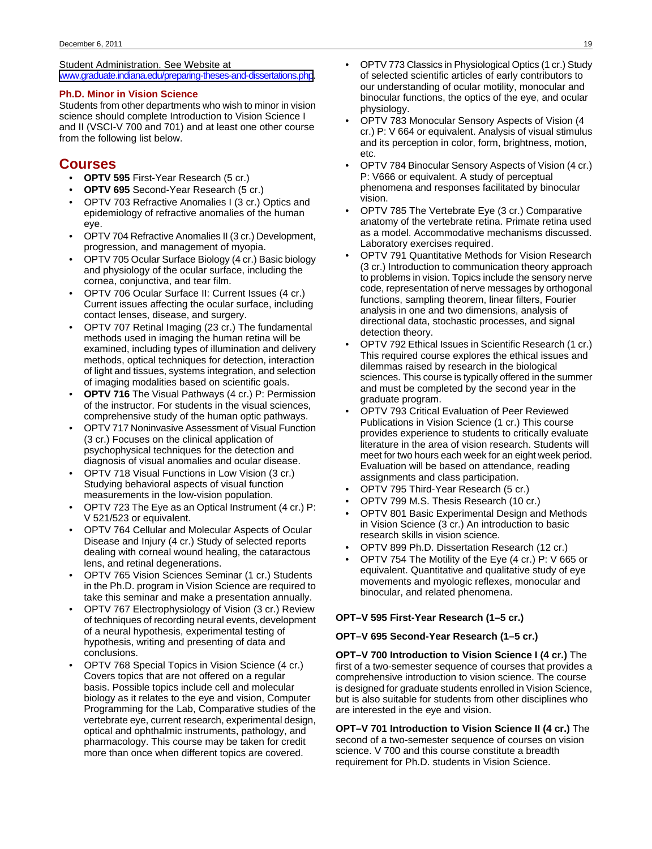Student Administration. See Website at [www.graduate.indiana.edu/preparing-theses-and-dissertations.php.](http://www.graduate.indiana.edu/preparing-theses-and-dissertations.php)

#### **Ph.D. Minor in Vision Science**

Students from other departments who wish to minor in vision science should complete Introduction to Vision Science I and II (VSCI-V 700 and 701) and at least one other course from the following list below.

## **Courses**

- **OPTV 595** First-Year Research (5 cr.)
- **OPTV 695** Second-Year Research (5 cr.)
- OPTV 703 Refractive Anomalies I (3 cr.) Optics and epidemiology of refractive anomalies of the human eye.
- OPTV 704 Refractive Anomalies II (3 cr.) Development, progression, and management of myopia.
- OPTV 705 Ocular Surface Biology (4 cr.) Basic biology and physiology of the ocular surface, including the cornea, conjunctiva, and tear film.
- OPTV 706 Ocular Surface II: Current Issues (4 cr.) Current issues affecting the ocular surface, including contact lenses, disease, and surgery.
- OPTV 707 Retinal Imaging (23 cr.) The fundamental methods used in imaging the human retina will be examined, including types of illumination and delivery methods, optical techniques for detection, interaction of light and tissues, systems integration, and selection of imaging modalities based on scientific goals.
- **OPTV 716** The Visual Pathways (4 cr.) P: Permission of the instructor. For students in the visual sciences, comprehensive study of the human optic pathways.
- OPTV 717 Noninvasive Assessment of Visual Function (3 cr.) Focuses on the clinical application of psychophysical techniques for the detection and diagnosis of visual anomalies and ocular disease.
- OPTV 718 Visual Functions in Low Vision (3 cr.) Studying behavioral aspects of visual function measurements in the low-vision population.
- OPTV 723 The Eye as an Optical Instrument (4 cr.) P: V 521/523 or equivalent.
- OPTV 764 Cellular and Molecular Aspects of Ocular Disease and Injury (4 cr.) Study of selected reports dealing with corneal wound healing, the cataractous lens, and retinal degenerations.
- OPTV 765 Vision Sciences Seminar (1 cr.) Students in the Ph.D. program in Vision Science are required to take this seminar and make a presentation annually.
- OPTV 767 Electrophysiology of Vision (3 cr.) Review of techniques of recording neural events, development of a neural hypothesis, experimental testing of hypothesis, writing and presenting of data and conclusions.
- OPTV 768 Special Topics in Vision Science (4 cr.) Covers topics that are not offered on a regular basis. Possible topics include cell and molecular biology as it relates to the eye and vision, Computer Programming for the Lab, Comparative studies of the vertebrate eye, current research, experimental design, optical and ophthalmic instruments, pathology, and pharmacology. This course may be taken for credit more than once when different topics are covered.
- OPTV 773 Classics in Physiological Optics (1 cr.) Study of selected scientific articles of early contributors to our understanding of ocular motility, monocular and binocular functions, the optics of the eye, and ocular physiology.
- OPTV 783 Monocular Sensory Aspects of Vision (4 cr.) P: V 664 or equivalent. Analysis of visual stimulus and its perception in color, form, brightness, motion, etc.
- OPTV 784 Binocular Sensory Aspects of Vision (4 cr.) P: V666 or equivalent. A study of perceptual phenomena and responses facilitated by binocular vision.
- OPTV 785 The Vertebrate Eye (3 cr.) Comparative anatomy of the vertebrate retina. Primate retina used as a model. Accommodative mechanisms discussed. Laboratory exercises required.
- OPTV 791 Quantitative Methods for Vision Research (3 cr.) Introduction to communication theory approach to problems in vision. Topics include the sensory nerve code, representation of nerve messages by orthogonal functions, sampling theorem, linear filters, Fourier analysis in one and two dimensions, analysis of directional data, stochastic processes, and signal detection theory.
- OPTV 792 Ethical Issues in Scientific Research (1 cr.) This required course explores the ethical issues and dilemmas raised by research in the biological sciences. This course is typically offered in the summer and must be completed by the second year in the graduate program.
- OPTV 793 Critical Evaluation of Peer Reviewed Publications in Vision Science (1 cr.) This course provides experience to students to critically evaluate literature in the area of vision research. Students will meet for two hours each week for an eight week period. Evaluation will be based on attendance, reading assignments and class participation.
- OPTV 795 Third-Year Research (5 cr.)
- OPTV 799 M.S. Thesis Research (10 cr.)
- OPTV 801 Basic Experimental Design and Methods in Vision Science (3 cr.) An introduction to basic research skills in vision science.
- OPTV 899 Ph.D. Dissertation Research (12 cr.)
- OPTV 754 The Motility of the Eye (4 cr.) P: V 665 or equivalent. Quantitative and qualitative study of eye movements and myologic reflexes, monocular and binocular, and related phenomena.

### **OPT–V 595 First-Year Research (1–5 cr.)**

### **OPT–V 695 Second-Year Research (1–5 cr.)**

**OPT–V 700 Introduction to Vision Science I (4 cr.)** The first of a two-semester sequence of courses that provides a comprehensive introduction to vision science. The course is designed for graduate students enrolled in Vision Science, but is also suitable for students from other disciplines who are interested in the eye and vision.

**OPT–V 701 Introduction to Vision Science II (4 cr.)** The second of a two-semester sequence of courses on vision science. V 700 and this course constitute a breadth requirement for Ph.D. students in Vision Science.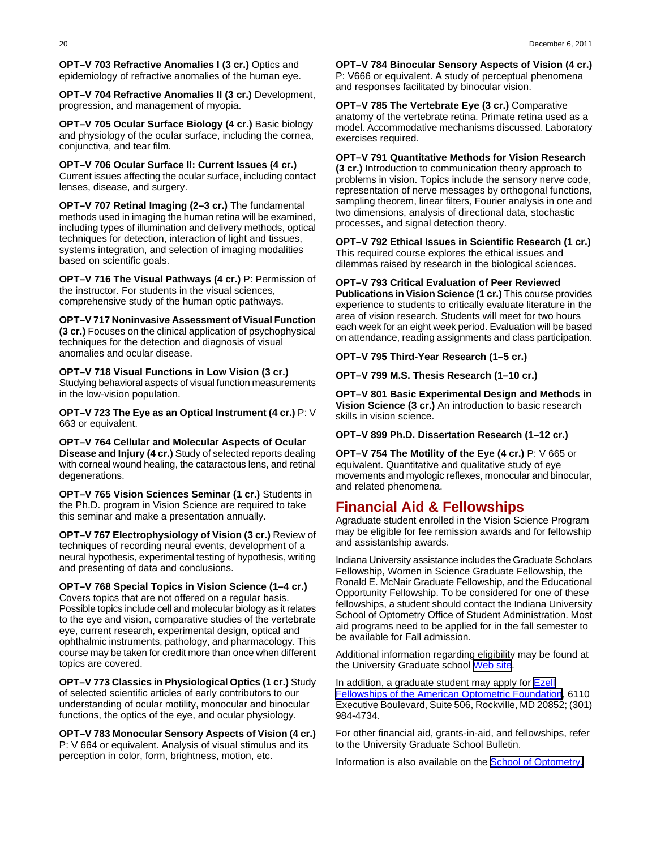**OPT–V 703 Refractive Anomalies I (3 cr.)** Optics and epidemiology of refractive anomalies of the human eye.

**OPT–V 704 Refractive Anomalies II (3 cr.)** Development, progression, and management of myopia.

**OPT–V 705 Ocular Surface Biology (4 cr.)** Basic biology and physiology of the ocular surface, including the cornea, conjunctiva, and tear film.

**OPT–V 706 Ocular Surface II: Current Issues (4 cr.)** Current issues affecting the ocular surface, including contact lenses, disease, and surgery.

**OPT–V 707 Retinal Imaging (2–3 cr.)** The fundamental methods used in imaging the human retina will be examined, including types of illumination and delivery methods, optical techniques for detection, interaction of light and tissues, systems integration, and selection of imaging modalities based on scientific goals.

**OPT–V 716 The Visual Pathways (4 cr.)** P: Permission of the instructor. For students in the visual sciences, comprehensive study of the human optic pathways.

**OPT–V 717 Noninvasive Assessment of Visual Function (3 cr.)** Focuses on the clinical application of psychophysical techniques for the detection and diagnosis of visual anomalies and ocular disease.

**OPT–V 718 Visual Functions in Low Vision (3 cr.)** Studying behavioral aspects of visual function measurements in the low-vision population.

**OPT–V 723 The Eye as an Optical Instrument (4 cr.)** P: V 663 or equivalent.

**OPT–V 764 Cellular and Molecular Aspects of Ocular Disease and Injury (4 cr.)** Study of selected reports dealing with corneal wound healing, the cataractous lens, and retinal degenerations.

**OPT–V 765 Vision Sciences Seminar (1 cr.)** Students in the Ph.D. program in Vision Science are required to take this seminar and make a presentation annually.

**OPT–V 767 Electrophysiology of Vision (3 cr.)** Review of techniques of recording neural events, development of a neural hypothesis, experimental testing of hypothesis, writing and presenting of data and conclusions.

**OPT–V 768 Special Topics in Vision Science (1–4 cr.)** Covers topics that are not offered on a regular basis. Possible topics include cell and molecular biology as it relates to the eye and vision, comparative studies of the vertebrate eye, current research, experimental design, optical and ophthalmic instruments, pathology, and pharmacology. This course may be taken for credit more than once when different topics are covered.

**OPT–V 773 Classics in Physiological Optics (1 cr.)** Study of selected scientific articles of early contributors to our understanding of ocular motility, monocular and binocular functions, the optics of the eye, and ocular physiology.

**OPT–V 783 Monocular Sensory Aspects of Vision (4 cr.)** P: V 664 or equivalent. Analysis of visual stimulus and its perception in color, form, brightness, motion, etc.

**OPT–V 784 Binocular Sensory Aspects of Vision (4 cr.)** P: V666 or equivalent. A study of perceptual phenomena and responses facilitated by binocular vision.

**OPT–V 785 The Vertebrate Eye (3 cr.)** Comparative anatomy of the vertebrate retina. Primate retina used as a model. Accommodative mechanisms discussed. Laboratory exercises required.

**OPT–V 791 Quantitative Methods for Vision Research**

**(3 cr.)** Introduction to communication theory approach to problems in vision. Topics include the sensory nerve code, representation of nerve messages by orthogonal functions, sampling theorem, linear filters, Fourier analysis in one and two dimensions, analysis of directional data, stochastic processes, and signal detection theory.

**OPT–V 792 Ethical Issues in Scientific Research (1 cr.)** This required course explores the ethical issues and dilemmas raised by research in the biological sciences.

**OPT–V 793 Critical Evaluation of Peer Reviewed**

**Publications in Vision Science (1 cr.)** This course provides experience to students to critically evaluate literature in the area of vision research. Students will meet for two hours each week for an eight week period. Evaluation will be based on attendance, reading assignments and class participation.

**OPT–V 795 Third-Year Research (1–5 cr.)**

**OPT–V 799 M.S. Thesis Research (1–10 cr.)**

**OPT–V 801 Basic Experimental Design and Methods in Vision Science (3 cr.)** An introduction to basic research skills in vision science.

**OPT–V 899 Ph.D. Dissertation Research (1–12 cr.)**

**OPT–V 754 The Motility of the Eye (4 cr.)** P: V 665 or equivalent. Quantitative and qualitative study of eye movements and myologic reflexes, monocular and binocular, and related phenomena.

# **Financial Aid & Fellowships**

Agraduate student enrolled in the Vision Science Program may be eligible for fee remission awards and for fellowship and assistantship awards.

Indiana University assistance includes the Graduate Scholars Fellowship, Women in Science Graduate Fellowship, the Ronald E. McNair Graduate Fellowship, and the Educational Opportunity Fellowship. To be considered for one of these fellowships, a student should contact the Indiana University School of Optometry Office of Student Administration. Most aid programs need to be applied for in the fall semester to be available for Fall admission.

Additional information regarding eligibility may be found at the University Graduate school [Web site.](http://www.graduate.indiana.edu/internal-awards.php)

In addition, a graduate student may apply for **[Ezell](http://www.ezell.org)** [Fellowships of the American Optometric Foundation,](http://www.ezell.org) 6110 Executive Boulevard, Suite 506, Rockville, MD 20852; (301) 984-4734.

For other financial aid, grants-in-aid, and fellowships, refer to the University Graduate School Bulletin.

Information is also available on the [School of Optometry.](http://www.opt.indiana.edu)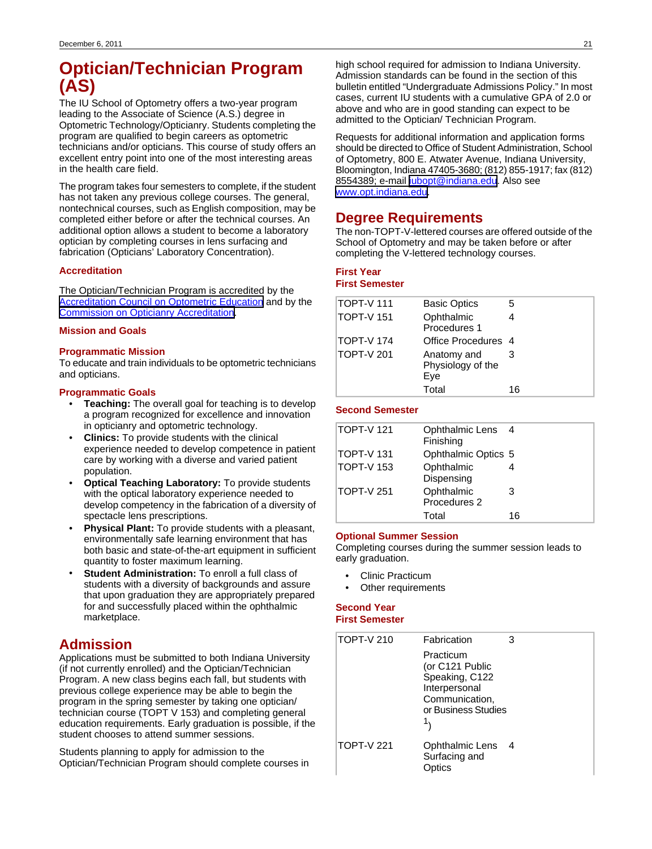# **Optician/Technician Program (AS)**

The IU School of Optometry offers a two-year program leading to the Associate of Science (A.S.) degree in Optometric Technology/Opticianry. Students completing the program are qualified to begin careers as optometric technicians and/or opticians. This course of study offers an excellent entry point into one of the most interesting areas in the health care field.

The program takes four semesters to complete, if the student has not taken any previous college courses. The general, nontechnical courses, such as English composition, may be completed either before or after the technical courses. An additional option allows a student to become a laboratory optician by completing courses in lens surfacing and fabrication (Opticians' Laboratory Concentration).

### **Accreditation**

The Optician/Technician Program is accredited by the [Accreditation Council on Optometric Education](http://www.aoa.org/x5153.xml) and by the [Commission on Opticianry Accreditation.](http://www.coaccreditation.com/)

### **Mission and Goals**

#### **Programmatic Mission**

To educate and train individuals to be optometric technicians and opticians.

#### **Programmatic Goals**

- **Teaching:** The overall goal for teaching is to develop a program recognized for excellence and innovation in opticianry and optometric technology.
- **Clinics:** To provide students with the clinical experience needed to develop competence in patient care by working with a diverse and varied patient population.
- **Optical Teaching Laboratory:** To provide students with the optical laboratory experience needed to develop competency in the fabrication of a diversity of spectacle lens prescriptions.
- **Physical Plant:** To provide students with a pleasant, environmentally safe learning environment that has both basic and state-of-the-art equipment in sufficient quantity to foster maximum learning.
- **Student Administration:** To enroll a full class of students with a diversity of backgrounds and assure that upon graduation they are appropriately prepared for and successfully placed within the ophthalmic marketplace.

# **Admission**

Applications must be submitted to both Indiana University (if not currently enrolled) and the Optician/Technician Program. A new class begins each fall, but students with previous college experience may be able to begin the program in the spring semester by taking one optician/ technician course (TOPT V 153) and completing general education requirements. Early graduation is possible, if the student chooses to attend summer sessions.

Students planning to apply for admission to the Optician/Technician Program should complete courses in

high school required for admission to Indiana University. Admission standards can be found in the section of this bulletin entitled "Undergraduate Admissions Policy." In most cases, current IU students with a cumulative GPA of 2.0 or above and who are in good standing can expect to be admitted to the Optician/ Technician Program.

Requests for additional information and application forms should be directed to Office of Student Administration, School of Optometry, 800 E. Atwater Avenue, Indiana University, Bloomington, Indiana 47405-3680; (812) 855-1917; fax (812) 8554389; e-mail [iubopt@indiana.edu](mailto:iubopt@indiana.edu). Also see [www.opt.indiana.edu.](http://www.opt.indiana.edu)

# **Degree Requirements**

The non-TOPT-V-lettered courses are offered outside of the School of Optometry and may be taken before or after completing the V-lettered technology courses.

### **First Year**

## **First Semester**

| <b>TOPT-V 111</b> | <b>Basic Optics</b>                     | 5  |
|-------------------|-----------------------------------------|----|
| <b>TOPT-V 151</b> | Ophthalmic<br>Procedures 1              | 4  |
| <b>TOPT-V 174</b> | Office Procedures 4                     |    |
| <b>TOPT-V 201</b> | Anatomy and<br>Physiology of the<br>Eve | 3  |
|                   | Total                                   | 16 |

### **Second Semester**

| <b>TOPT-V 121</b> | Ophthalmic Lens 4<br>Finishing |    |
|-------------------|--------------------------------|----|
| <b>TOPT-V 131</b> | <b>Ophthalmic Optics 5</b>     |    |
| <b>TOPT-V 153</b> | Ophthalmic<br>Dispensing       |    |
| <b>TOPT-V 251</b> | Ophthalmic<br>Procedures 2     | 3  |
|                   | Total                          | 16 |

#### **Optional Summer Session**

Completing courses during the summer session leads to early graduation.

- Clinic Practicum
- Other requirements

### **Second Year First Semester**

### TOPT-V 210 Fabrication Practicum (or C121 Public Speaking, C122 3 Interpersonal Communication, or Business Studies 1 ) TOPT-V 221 Ophthalmic Lens 4 Surfacing and **Optics**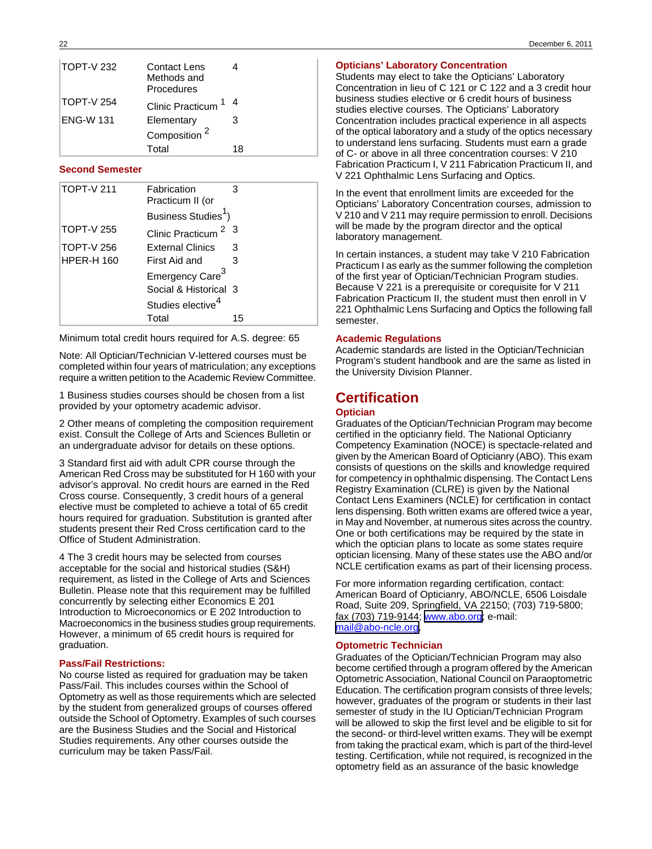| <b>TOPT-V 232</b> | Contact Lens<br>Methods and<br>Procedures |    |
|-------------------|-------------------------------------------|----|
| <b>TOPT-V 254</b> | Clinic Practicum <sup>1</sup>             | -4 |
| <b>ENG-W131</b>   | Elementary                                | з  |
|                   | Composition <sup>2</sup>                  |    |
|                   | Total                                     | 18 |

#### **Second Semester**

| <b>TOPT-V 211</b> | Fabrication<br>Practicum II (or | 3  |
|-------------------|---------------------------------|----|
|                   | Business Studies <sup>1</sup> ) |    |
| <b>TOPT-V 255</b> | Clinic Practicum <sup>2</sup>   | -3 |
| <b>TOPT-V 256</b> | <b>External Clinics</b>         | 3  |
| <b>HPER-H 160</b> | First Aid and                   | 3  |
|                   | Emergency Care <sup>3</sup>     |    |
|                   | Social & Historical 3           |    |
|                   | Studies elective <sup>4</sup>   |    |
|                   | Total                           | 15 |

Minimum total credit hours required for A.S. degree: 65

Note: All Optician/Technician V-lettered courses must be completed within four years of matriculation; any exceptions require a written petition to the Academic Review Committee.

1 Business studies courses should be chosen from a list provided by your optometry academic advisor.

2 Other means of completing the composition requirement exist. Consult the College of Arts and Sciences Bulletin or an undergraduate advisor for details on these options.

3 Standard first aid with adult CPR course through the American Red Cross may be substituted for H 160 with your advisor's approval. No credit hours are earned in the Red Cross course. Consequently, 3 credit hours of a general elective must be completed to achieve a total of 65 credit hours required for graduation. Substitution is granted after students present their Red Cross certification card to the Office of Student Administration.

4 The 3 credit hours may be selected from courses acceptable for the social and historical studies (S&H) requirement, as listed in the College of Arts and Sciences Bulletin. Please note that this requirement may be fulfilled concurrently by selecting either Economics E 201 Introduction to Microeconomics or E 202 Introduction to Macroeconomics in the business studies group requirements. However, a minimum of 65 credit hours is required for graduation.

### **Pass/Fail Restrictions:**

No course listed as required for graduation may be taken Pass/Fail. This includes courses within the School of Optometry as well as those requirements which are selected by the student from generalized groups of courses offered outside the School of Optometry. Examples of such courses are the Business Studies and the Social and Historical Studies requirements. Any other courses outside the curriculum may be taken Pass/Fail.

### **Opticians' Laboratory Concentration**

Students may elect to take the Opticians' Laboratory Concentration in lieu of C 121 or C 122 and a 3 credit hour business studies elective or 6 credit hours of business studies elective courses. The Opticians' Laboratory Concentration includes practical experience in all aspects of the optical laboratory and a study of the optics necessary to understand lens surfacing. Students must earn a grade of C- or above in all three concentration courses: V 210 Fabrication Practicum I, V 211 Fabrication Practicum II, and V 221 Ophthalmic Lens Surfacing and Optics.

In the event that enrollment limits are exceeded for the Opticians' Laboratory Concentration courses, admission to V 210 and V 211 may require permission to enroll. Decisions will be made by the program director and the optical laboratory management.

In certain instances, a student may take V 210 Fabrication Practicum I as early as the summer following the completion of the first year of Optician/Technician Program studies. Because V 221 is a prerequisite or corequisite for V 211 Fabrication Practicum II, the student must then enroll in V 221 Ophthalmic Lens Surfacing and Optics the following fall semester.

#### **Academic Regulations**

Academic standards are listed in the Optician/Technician Program's student handbook and are the same as listed in the University Division Planner.

## **Certification**

### **Optician**

Graduates of the Optician/Technician Program may become certified in the opticianry field. The National Opticianry Competency Examination (NOCE) is spectacle-related and given by the American Board of Opticianry (ABO). This exam consists of questions on the skills and knowledge required for competency in ophthalmic dispensing. The Contact Lens Registry Examination (CLRE) is given by the National Contact Lens Examiners (NCLE) for certification in contact lens dispensing. Both written exams are offered twice a year, in May and November, at numerous sites across the country. One or both certifications may be required by the state in which the optician plans to locate as some states require optician licensing. Many of these states use the ABO and/or NCLE certification exams as part of their licensing process.

For more information regarding certification, contact: American Board of Opticianry, ABO/NCLE, 6506 Loisdale Road, Suite 209, Springfield, VA 22150; (703) 719-5800; fax (703) 719-9144; [www.abo.org;](http://www.abo.org) e-mail: [mail@abo-ncle.org.](mailto: mail@abo-ncle.org)

#### **Optometric Technician**

Graduates of the Optician/Technician Program may also become certified through a program offered by the American Optometric Association, National Council on Paraoptometric Education. The certification program consists of three levels; however, graduates of the program or students in their last semester of study in the IU Optician/Technician Program will be allowed to skip the first level and be eligible to sit for the second- or third-level written exams. They will be exempt from taking the practical exam, which is part of the third-level testing. Certification, while not required, is recognized in the optometry field as an assurance of the basic knowledge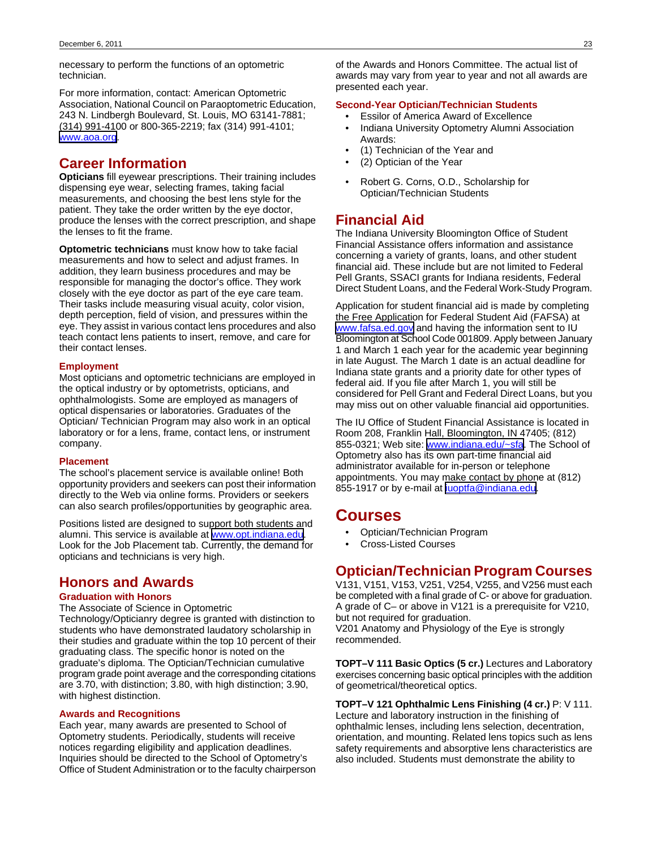necessary to perform the functions of an optometric technician.

For more information, contact: American Optometric Association, National Council on Paraoptometric Education, 243 N. Lindbergh Boulevard, St. Louis, MO 63141-7881; (314) 991-4100 or 800-365-2219; fax (314) 991-4101; [www.aoa.org.](http://www.aoa.org)

# **Career Information**

**Opticians** fill eyewear prescriptions. Their training includes dispensing eye wear, selecting frames, taking facial measurements, and choosing the best lens style for the patient. They take the order written by the eye doctor, produce the lenses with the correct prescription, and shape the lenses to fit the frame.

**Optometric technicians** must know how to take facial measurements and how to select and adjust frames. In addition, they learn business procedures and may be responsible for managing the doctor's office. They work closely with the eye doctor as part of the eye care team. Their tasks include measuring visual acuity, color vision, depth perception, field of vision, and pressures within the eye. They assist in various contact lens procedures and also teach contact lens patients to insert, remove, and care for their contact lenses.

### **Employment**

Most opticians and optometric technicians are employed in the optical industry or by optometrists, opticians, and ophthalmologists. Some are employed as managers of optical dispensaries or laboratories. Graduates of the Optician/ Technician Program may also work in an optical laboratory or for a lens, frame, contact lens, or instrument company.

### **Placement**

The school's placement service is available online! Both opportunity providers and seekers can post their information directly to the Web via online forms. Providers or seekers can also search profiles/opportunities by geographic area.

Positions listed are designed to support both students and alumni. This service is available at [www.opt.indiana.edu.](http://www.opt.indiana.edu) Look for the Job Placement tab. Currently, the demand for opticians and technicians is very high.

# **Honors and Awards**

### **Graduation with Honors**

The Associate of Science in Optometric

Technology/Opticianry degree is granted with distinction to students who have demonstrated laudatory scholarship in their studies and graduate within the top 10 percent of their graduating class. The specific honor is noted on the graduate's diploma. The Optician/Technician cumulative program grade point average and the corresponding citations are 3.70, with distinction; 3.80, with high distinction; 3.90, with highest distinction.

### **Awards and Recognitions**

Each year, many awards are presented to School of Optometry students. Periodically, students will receive notices regarding eligibility and application deadlines. Inquiries should be directed to the School of Optometry's Office of Student Administration or to the faculty chairperson

of the Awards and Honors Committee. The actual list of awards may vary from year to year and not all awards are presented each year.

### **Second-Year Optician/Technician Students**

- Essilor of America Award of Excellence
- Indiana University Optometry Alumni Association Awards:
- (1) Technician of the Year and
- (2) Optician of the Year
- Robert G. Corns, O.D., Scholarship for Optician/Technician Students

# **Financial Aid**

The Indiana University Bloomington Office of Student Financial Assistance offers information and assistance concerning a variety of grants, loans, and other student financial aid. These include but are not limited to Federal Pell Grants, SSACI grants for Indiana residents, Federal Direct Student Loans, and the Federal Work-Study Program.

Application for student financial aid is made by completing the Free Application for Federal Student Aid (FAFSA) at [www.fafsa.ed.gov](http://www.fafsa.ed.gov) and having the information sent to IU Bloomington at School Code 001809. Apply between January 1 and March 1 each year for the academic year beginning in late August. The March 1 date is an actual deadline for Indiana state grants and a priority date for other types of federal aid. If you file after March 1, you will still be considered for Pell Grant and Federal Direct Loans, but you may miss out on other valuable financial aid opportunities.

The IU Office of Student Financial Assistance is located in Room 208, Franklin Hall, Bloomington, IN 47405; (812) 855-0321; Web site: [www.indiana.edu/~sfa](http://www.indiana.edu/~sfa). The School of Optometry also has its own part-time financial aid administrator available for in-person or telephone appointments. You may make contact by phone at (812) 855-1917 or by e-mail at *iuoptfa@indiana.edu*.

# **Courses**

- Optician/Technician Program
- Cross-Listed Courses

# **Optician/Technician Program Courses**

V131, V151, V153, V251, V254, V255, and V256 must each be completed with a final grade of C- or above for graduation. A grade of C– or above in V121 is a prerequisite for V210, but not required for graduation. V201 Anatomy and Physiology of the Eye is strongly

recommended.

**TOPT–V 111 Basic Optics (5 cr.)** Lectures and Laboratory exercises concerning basic optical principles with the addition of geometrical/theoretical optics.

**TOPT–V 121 Ophthalmic Lens Finishing (4 cr.)** P: V 111. Lecture and laboratory instruction in the finishing of ophthalmic lenses, including lens selection, decentration, orientation, and mounting. Related lens topics such as lens safety requirements and absorptive lens characteristics are also included. Students must demonstrate the ability to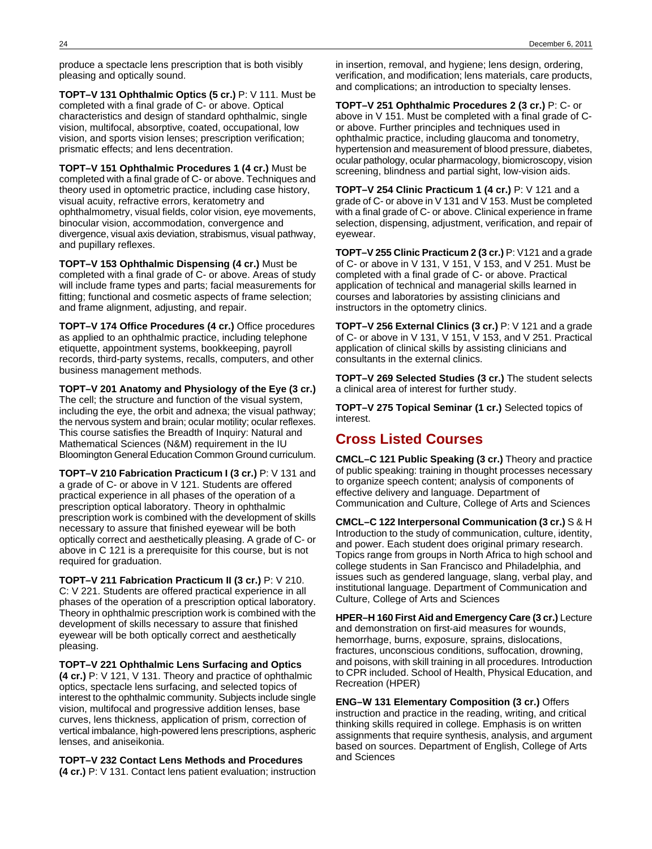produce a spectacle lens prescription that is both visibly pleasing and optically sound.

**TOPT–V 131 Ophthalmic Optics (5 cr.)** P: V 111. Must be completed with a final grade of C- or above. Optical characteristics and design of standard ophthalmic, single vision, multifocal, absorptive, coated, occupational, low vision, and sports vision lenses; prescription verification; prismatic effects; and lens decentration.

**TOPT–V 151 Ophthalmic Procedures 1 (4 cr.)** Must be completed with a final grade of C- or above. Techniques and theory used in optometric practice, including case history, visual acuity, refractive errors, keratometry and ophthalmometry, visual fields, color vision, eye movements, binocular vision, accommodation, convergence and divergence, visual axis deviation, strabismus, visual pathway, and pupillary reflexes.

**TOPT–V 153 Ophthalmic Dispensing (4 cr.)** Must be completed with a final grade of C- or above. Areas of study will include frame types and parts; facial measurements for fitting; functional and cosmetic aspects of frame selection; and frame alignment, adjusting, and repair.

**TOPT–V 174 Office Procedures (4 cr.)** Office procedures as applied to an ophthalmic practice, including telephone etiquette, appointment systems, bookkeeping, payroll records, third-party systems, recalls, computers, and other business management methods.

**TOPT–V 201 Anatomy and Physiology of the Eye (3 cr.)** The cell; the structure and function of the visual system, including the eye, the orbit and adnexa; the visual pathway; the nervous system and brain; ocular motility; ocular reflexes. This course satisfies the Breadth of Inquiry: Natural and Mathematical Sciences (N&M) requirement in the IU Bloomington General Education Common Ground curriculum.

**TOPT–V 210 Fabrication Practicum I (3 cr.)** P: V 131 and a grade of C- or above in V 121. Students are offered practical experience in all phases of the operation of a prescription optical laboratory. Theory in ophthalmic prescription work is combined with the development of skills necessary to assure that finished eyewear will be both optically correct and aesthetically pleasing. A grade of C- or above in C 121 is a prerequisite for this course, but is not required for graduation.

**TOPT–V 211 Fabrication Practicum II (3 cr.)** P: V 210. C: V 221. Students are offered practical experience in all phases of the operation of a prescription optical laboratory. Theory in ophthalmic prescription work is combined with the development of skills necessary to assure that finished eyewear will be both optically correct and aesthetically pleasing.

**TOPT–V 221 Ophthalmic Lens Surfacing and Optics (4 cr.)** P: V 121, V 131. Theory and practice of ophthalmic optics, spectacle lens surfacing, and selected topics of interest to the ophthalmic community. Subjects include single vision, multifocal and progressive addition lenses, base curves, lens thickness, application of prism, correction of vertical imbalance, high-powered lens prescriptions, aspheric lenses, and aniseikonia.

**TOPT–V 232 Contact Lens Methods and Procedures (4 cr.)** P: V 131. Contact lens patient evaluation; instruction

in insertion, removal, and hygiene; lens design, ordering, verification, and modification; lens materials, care products, and complications; an introduction to specialty lenses.

**TOPT–V 251 Ophthalmic Procedures 2 (3 cr.)** P: C- or above in V 151. Must be completed with a final grade of Cor above. Further principles and techniques used in ophthalmic practice, including glaucoma and tonometry, hypertension and measurement of blood pressure, diabetes, ocular pathology, ocular pharmacology, biomicroscopy, vision screening, blindness and partial sight, low-vision aids.

**TOPT–V 254 Clinic Practicum 1 (4 cr.)** P: V 121 and a grade of C- or above in V 131 and V 153. Must be completed with a final grade of C- or above. Clinical experience in frame selection, dispensing, adjustment, verification, and repair of eyewear.

**TOPT–V 255 Clinic Practicum 2 (3 cr.)** P: V121 and a grade of C- or above in V 131, V 151, V 153, and V 251. Must be completed with a final grade of C- or above. Practical application of technical and managerial skills learned in courses and laboratories by assisting clinicians and instructors in the optometry clinics.

**TOPT–V 256 External Clinics (3 cr.)** P: V 121 and a grade of C- or above in V 131, V 151, V 153, and V 251. Practical application of clinical skills by assisting clinicians and consultants in the external clinics.

**TOPT–V 269 Selected Studies (3 cr.)** The student selects a clinical area of interest for further study.

**TOPT–V 275 Topical Seminar (1 cr.)** Selected topics of interest.

# **Cross Listed Courses**

**CMCL–C 121 Public Speaking (3 cr.)** Theory and practice of public speaking: training in thought processes necessary to organize speech content; analysis of components of effective delivery and language. Department of Communication and Culture, College of Arts and Sciences

**CMCL–C 122 Interpersonal Communication (3 cr.)** S & H Introduction to the study of communication, culture, identity, and power. Each student does original primary research. Topics range from groups in North Africa to high school and college students in San Francisco and Philadelphia, and issues such as gendered language, slang, verbal play, and institutional language. Department of Communication and Culture, College of Arts and Sciences

**HPER–H 160 First Aid and Emergency Care (3 cr.)** Lecture and demonstration on first-aid measures for wounds, hemorrhage, burns, exposure, sprains, dislocations, fractures, unconscious conditions, suffocation, drowning, and poisons, with skill training in all procedures. Introduction to CPR included. School of Health, Physical Education, and Recreation (HPER)

**ENG–W 131 Elementary Composition (3 cr.)** Offers instruction and practice in the reading, writing, and critical thinking skills required in college. Emphasis is on written assignments that require synthesis, analysis, and argument based on sources. Department of English, College of Arts and Sciences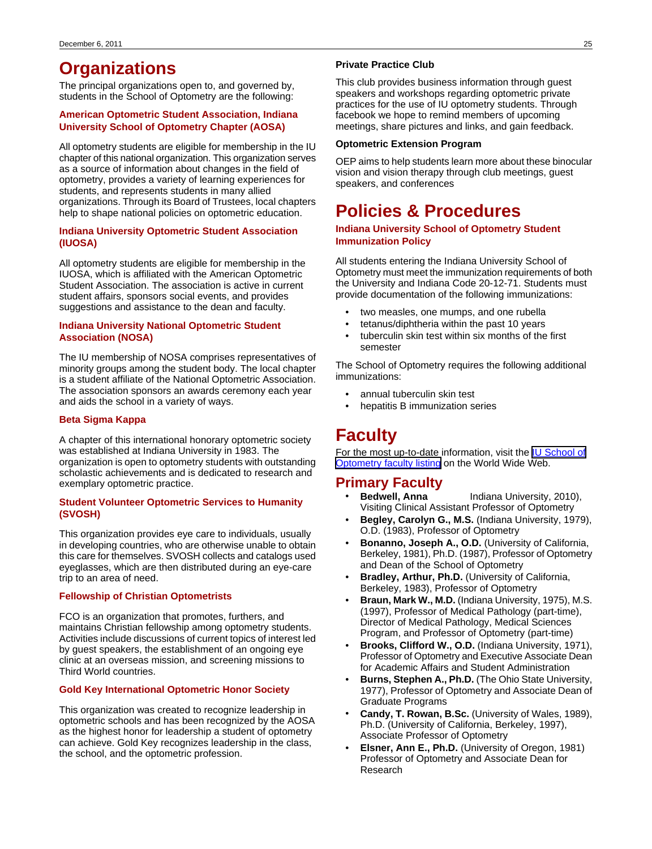# **Organizations**

The principal organizations open to, and governed by, students in the School of Optometry are the following:

### **American Optometric Student Association, Indiana University School of Optometry Chapter (AOSA)**

All optometry students are eligible for membership in the IU chapter of this national organization. This organization serves as a source of information about changes in the field of optometry, provides a variety of learning experiences for students, and represents students in many allied organizations. Through its Board of Trustees, local chapters help to shape national policies on optometric education.

### **Indiana University Optometric Student Association (IUOSA)**

All optometry students are eligible for membership in the IUOSA, which is affiliated with the American Optometric Student Association. The association is active in current student affairs, sponsors social events, and provides suggestions and assistance to the dean and faculty.

### **Indiana University National Optometric Student Association (NOSA)**

The IU membership of NOSA comprises representatives of minority groups among the student body. The local chapter is a student affiliate of the National Optometric Association. The association sponsors an awards ceremony each year and aids the school in a variety of ways.

### **Beta Sigma Kappa**

A chapter of this international honorary optometric society was established at Indiana University in 1983. The organization is open to optometry students with outstanding scholastic achievements and is dedicated to research and exemplary optometric practice.

### **Student Volunteer Optometric Services to Humanity (SVOSH)**

This organization provides eye care to individuals, usually in developing countries, who are otherwise unable to obtain this care for themselves. SVOSH collects and catalogs used eyeglasses, which are then distributed during an eye-care trip to an area of need.

### **Fellowship of Christian Optometrists**

FCO is an organization that promotes, furthers, and maintains Christian fellowship among optometry students. Activities include discussions of current topics of interest led by guest speakers, the establishment of an ongoing eye clinic at an overseas mission, and screening missions to Third World countries.

### **Gold Key International Optometric Honor Society**

This organization was created to recognize leadership in optometric schools and has been recognized by the AOSA as the highest honor for leadership a student of optometry can achieve. Gold Key recognizes leadership in the class, the school, and the optometric profession.

### **Private Practice Club**

This club provides business information through guest speakers and workshops regarding optometric private practices for the use of IU optometry students. Through facebook we hope to remind members of upcoming meetings, share pictures and links, and gain feedback.

#### **Optometric Extension Program**

OEP aims to help students learn more about these binocular vision and vision therapy through club meetings, guest speakers, and conferences

# **Policies & Procedures**

### **Indiana University School of Optometry Student Immunization Policy**

All students entering the Indiana University School of Optometry must meet the immunization requirements of both the University and Indiana Code 20-12-71. Students must provide documentation of the following immunizations:

- two measles, one mumps, and one rubella
- tetanus/diphtheria within the past 10 years
- tuberculin skin test within six months of the first semester

The School of Optometry requires the following additional immunizations:

- annual tuberculin skin test
- hepatitis B immunization series

# **Faculty**

For the most up-to-date information, visit the **IU School of [Optometry faculty listing](http://www.opt.indiana.edu/people/faculty.htm) on the World Wide Web.** 

# **Primary Faculty**

- **Bedwell, Anna Indiana University, 2010),** Visiting Clinical Assistant Professor of Optometry
- **Begley, Carolyn G., M.S.** (Indiana University, 1979), O.D. (1983), Professor of Optometry
- **Bonanno, Joseph A., O.D.** (University of California, Berkeley, 1981), Ph.D. (1987), Professor of Optometry and Dean of the School of Optometry
- **Bradley, Arthur, Ph.D.** (University of California, Berkeley, 1983), Professor of Optometry
- **Braun, Mark W., M.D.** (Indiana University, 1975), M.S. (1997), Professor of Medical Pathology (part-time), Director of Medical Pathology, Medical Sciences Program, and Professor of Optometry (part-time)
- **Brooks, Clifford W., O.D.** (Indiana University, 1971), Professor of Optometry and Executive Associate Dean for Academic Affairs and Student Administration
- **Burns, Stephen A., Ph.D.** (The Ohio State University, 1977), Professor of Optometry and Associate Dean of Graduate Programs
- **Candy, T. Rowan, B.Sc.** (University of Wales, 1989), Ph.D. (University of California, Berkeley, 1997), Associate Professor of Optometry
- **Elsner, Ann E., Ph.D.** (University of Oregon, 1981) Professor of Optometry and Associate Dean for Research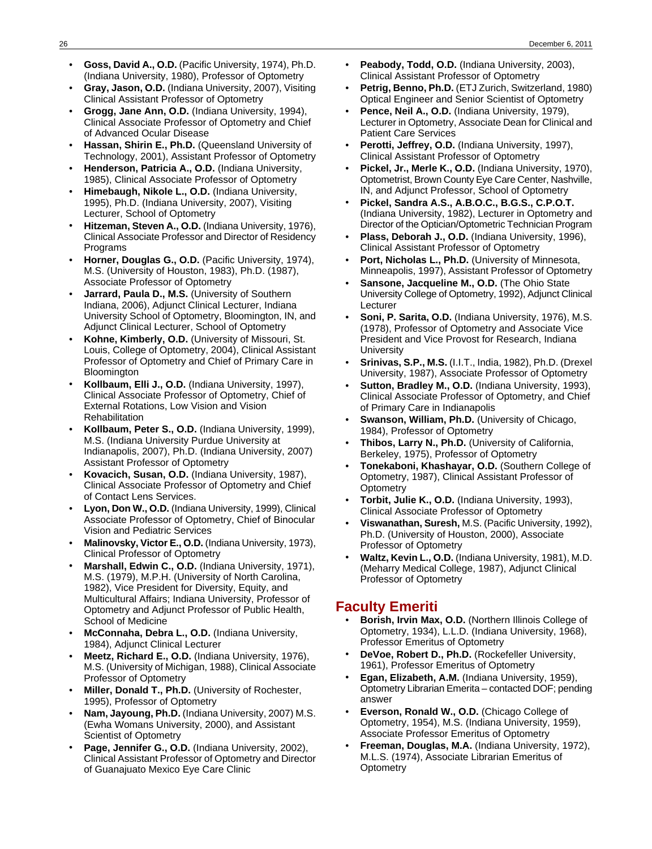- **Goss, David A., O.D.** (Pacific University, 1974), Ph.D. (Indiana University, 1980), Professor of Optometry
- **Gray, Jason, O.D.** (Indiana University, 2007), Visiting Clinical Assistant Professor of Optometry
- **Grogg, Jane Ann, O.D.** (Indiana University, 1994), Clinical Associate Professor of Optometry and Chief of Advanced Ocular Disease
- **Hassan, Shirin E., Ph.D.** (Queensland University of Technology, 2001), Assistant Professor of Optometry
- **Henderson, Patricia A., O.D.** (Indiana University, 1985), Clinical Associate Professor of Optometry
- **Himebaugh, Nikole L., O.D.** (Indiana University, 1995), Ph.D. (Indiana University, 2007), Visiting Lecturer, School of Optometry
- **Hitzeman, Steven A., O.D.** (Indiana University, 1976), Clinical Associate Professor and Director of Residency Programs
- **Horner, Douglas G., O.D.** (Pacific University, 1974), M.S. (University of Houston, 1983), Ph.D. (1987), Associate Professor of Optometry
- **Jarrard, Paula D., M.S. (University of Southern)** Indiana, 2006), Adjunct Clinical Lecturer, Indiana University School of Optometry, Bloomington, IN, and Adjunct Clinical Lecturer, School of Optometry
- **Kohne, Kimberly, O.D.** (University of Missouri, St. Louis, College of Optometry, 2004), Clinical Assistant Professor of Optometry and Chief of Primary Care in Bloomington
- **Kollbaum, Elli J., O.D.** (Indiana University, 1997), Clinical Associate Professor of Optometry, Chief of External Rotations, Low Vision and Vision **Rehabilitation**
- **Kollbaum, Peter S., O.D.** (Indiana University, 1999), M.S. (Indiana University Purdue University at Indianapolis, 2007), Ph.D. (Indiana University, 2007) Assistant Professor of Optometry
- **Kovacich, Susan, O.D.** (Indiana University, 1987), Clinical Associate Professor of Optometry and Chief of Contact Lens Services.
- **Lyon, Don W., O.D.** (Indiana University, 1999), Clinical Associate Professor of Optometry, Chief of Binocular Vision and Pediatric Services
- **Malinovsky, Victor E., O.D.** (Indiana University, 1973), Clinical Professor of Optometry
- **Marshall, Edwin C., O.D.** (Indiana University, 1971), M.S. (1979), M.P.H. (University of North Carolina, 1982), Vice President for Diversity, Equity, and Multicultural Affairs; Indiana University, Professor of Optometry and Adjunct Professor of Public Health, School of Medicine
- **McConnaha, Debra L., O.D.** (Indiana University, 1984), Adjunct Clinical Lecturer
- **Meetz, Richard E., O.D.** (Indiana University, 1976), M.S. (University of Michigan, 1988), Clinical Associate Professor of Optometry
- **Miller, Donald T., Ph.D.** (University of Rochester, 1995), Professor of Optometry
- **Nam, Jayoung, Ph.D.** (Indiana University, 2007) M.S. (Ewha Womans University, 2000), and Assistant Scientist of Optometry
- **Page, Jennifer G., O.D.** (Indiana University, 2002), Clinical Assistant Professor of Optometry and Director of Guanajuato Mexico Eye Care Clinic
- Peabody, Todd, O.D. (Indiana University, 2003), Clinical Assistant Professor of Optometry
- **Petrig, Benno, Ph.D.** (ETJ Zurich, Switzerland, 1980) Optical Engineer and Senior Scientist of Optometry
- **Pence, Neil A., O.D.** (Indiana University, 1979), Lecturer in Optometry, Associate Dean for Clinical and Patient Care Services
- **Perotti, Jeffrey, O.D.** (Indiana University, 1997), Clinical Assistant Professor of Optometry
- **Pickel, Jr., Merle K., O.D.** (Indiana University, 1970), Optometrist, Brown County Eye Care Center, Nashville, IN, and Adjunct Professor, School of Optometry
- **Pickel, Sandra A.S., A.B.O.C., B.G.S., C.P.O.T.** (Indiana University, 1982), Lecturer in Optometry and Director of the Optician/Optometric Technician Program
- **Plass, Deborah J., O.D.** (Indiana University, 1996), Clinical Assistant Professor of Optometry
- **Port, Nicholas L., Ph.D.** (University of Minnesota, Minneapolis, 1997), Assistant Professor of Optometry
- **Sansone, Jacqueline M., O.D.** (The Ohio State University College of Optometry, 1992), Adjunct Clinical Lecturer
- **Soni, P. Sarita, O.D.** (Indiana University, 1976), M.S. (1978), Professor of Optometry and Associate Vice President and Vice Provost for Research, Indiana **University**
- **Srinivas, S.P., M.S.** (I.I.T., India, 1982), Ph.D. (Drexel University, 1987), Associate Professor of Optometry
- **Sutton, Bradley M., O.D.** (Indiana University, 1993), Clinical Associate Professor of Optometry, and Chief of Primary Care in Indianapolis
- **Swanson, William, Ph.D.** (University of Chicago, 1984), Professor of Optometry
- **Thibos, Larry N., Ph.D.** (University of California, Berkeley, 1975), Professor of Optometry
- **Tonekaboni, Khashayar, O.D.** (Southern College of Optometry, 1987), Clinical Assistant Professor of **Optometry**
- **Torbit, Julie K., O.D.** (Indiana University, 1993), Clinical Associate Professor of Optometry
- **Viswanathan, Suresh,** M.S. (Pacific University, 1992), Ph.D. (University of Houston, 2000), Associate Professor of Optometry
- **Waltz, Kevin L., O.D.** (Indiana University, 1981), M.D. (Meharry Medical College, 1987), Adjunct Clinical Professor of Optometry

# **Faculty Emeriti**

- **Borish, Irvin Max, O.D.** (Northern Illinois College of Optometry, 1934), L.L.D. (Indiana University, 1968), Professor Emeritus of Optometry
- **DeVoe, Robert D., Ph.D.** (Rockefeller University, 1961), Professor Emeritus of Optometry
- **Egan, Elizabeth, A.M.** (Indiana University, 1959), Optometry Librarian Emerita – contacted DOF; pending answer
- **Everson, Ronald W., O.D.** (Chicago College of Optometry, 1954), M.S. (Indiana University, 1959), Associate Professor Emeritus of Optometry
- **Freeman, Douglas, M.A.** (Indiana University, 1972), M.L.S. (1974), Associate Librarian Emeritus of **Optometry**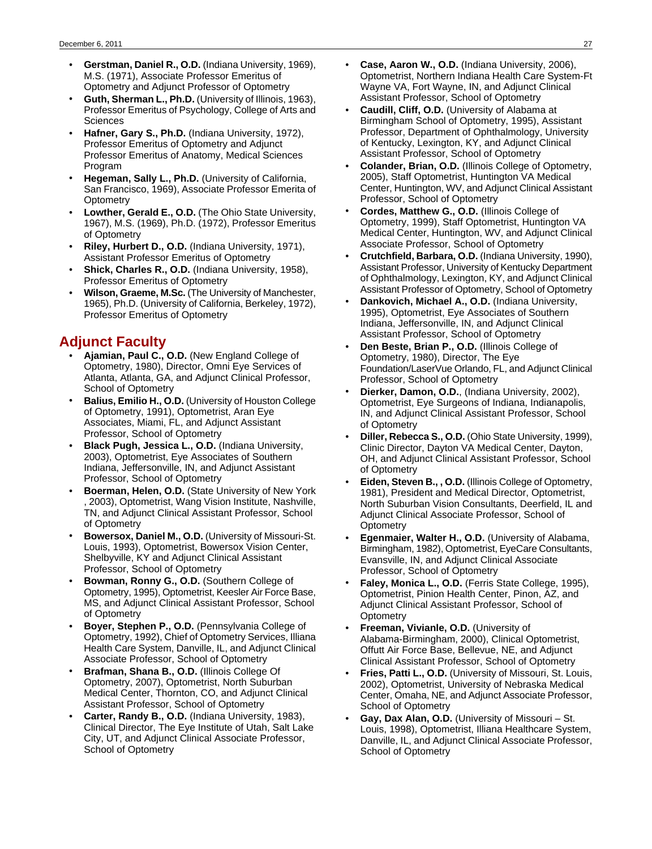- **Gerstman, Daniel R., O.D.** (Indiana University, 1969), M.S. (1971), Associate Professor Emeritus of Optometry and Adjunct Professor of Optometry
- **Guth, Sherman L., Ph.D.** (University of Illinois, 1963), Professor Emeritus of Psychology, College of Arts and **Sciences**
- **Hafner, Gary S., Ph.D.** (Indiana University, 1972), Professor Emeritus of Optometry and Adjunct Professor Emeritus of Anatomy, Medical Sciences Program
- **Hegeman, Sally L., Ph.D.** (University of California, San Francisco, 1969), Associate Professor Emerita of **Optometry**
- **Lowther, Gerald E., O.D.** (The Ohio State University, 1967), M.S. (1969), Ph.D. (1972), Professor Emeritus of Optometry
- **Riley, Hurbert D., O.D.** (Indiana University, 1971), Assistant Professor Emeritus of Optometry
- **Shick, Charles R., O.D.** (Indiana University, 1958), Professor Emeritus of Optometry
- **Wilson, Graeme, M.Sc.** (The University of Manchester, 1965), Ph.D. (University of California, Berkeley, 1972), Professor Emeritus of Optometry

# **Adjunct Faculty**

- **Ajamian, Paul C., O.D.** (New England College of Optometry, 1980), Director, Omni Eye Services of Atlanta, Atlanta, GA, and Adjunct Clinical Professor, School of Optometry
- **Balius, Emilio H., O.D.** (University of Houston College of Optometry, 1991), Optometrist, Aran Eye Associates, Miami, FL, and Adjunct Assistant Professor, School of Optometry
- **Black Pugh, Jessica L., O.D.** (Indiana University, 2003), Optometrist, Eye Associates of Southern Indiana, Jeffersonville, IN, and Adjunct Assistant Professor, School of Optometry
- **Boerman, Helen, O.D.** (State University of New York , 2003), Optometrist, Wang Vision Institute, Nashville, TN, and Adjunct Clinical Assistant Professor, School of Optometry
- **Bowersox, Daniel M., O.D.** (University of Missouri-St. Louis, 1993), Optometrist, Bowersox Vision Center, Shelbyville, KY and Adjunct Clinical Assistant Professor, School of Optometry
- **Bowman, Ronny G., O.D.** (Southern College of Optometry, 1995), Optometrist, Keesler Air Force Base, MS, and Adjunct Clinical Assistant Professor, School of Optometry
- **Boyer, Stephen P., O.D.** (Pennsylvania College of Optometry, 1992), Chief of Optometry Services, Illiana Health Care System, Danville, IL, and Adjunct Clinical Associate Professor, School of Optometry
- **Brafman, Shana B., O.D.** (Illinois College Of Optometry, 2007), Optometrist, North Suburban Medical Center, Thornton, CO, and Adjunct Clinical Assistant Professor, School of Optometry
- **Carter, Randy B., O.D.** (Indiana University, 1983), Clinical Director, The Eye Institute of Utah, Salt Lake City, UT, and Adjunct Clinical Associate Professor, School of Optometry
- **Case, Aaron W., O.D.** (Indiana University, 2006), Optometrist, Northern Indiana Health Care System-Ft Wayne VA, Fort Wayne, IN, and Adjunct Clinical Assistant Professor, School of Optometry
- **Caudill, Cliff, O.D.** (University of Alabama at Birmingham School of Optometry, 1995), Assistant Professor, Department of Ophthalmology, University of Kentucky, Lexington, KY, and Adjunct Clinical Assistant Professor, School of Optometry
- **Colander, Brian, O.D.** (Illinois College of Optometry, 2005), Staff Optometrist, Huntington VA Medical Center, Huntington, WV, and Adjunct Clinical Assistant Professor, School of Optometry
- **Cordes, Matthew G., O.D.** (Illinois College of Optometry, 1999), Staff Optometrist, Huntington VA Medical Center, Huntington, WV, and Adjunct Clinical Associate Professor, School of Optometry
- **Crutchfield, Barbara, O.D.** (Indiana University, 1990), Assistant Professor, University of Kentucky Department of Ophthalmology, Lexington, KY, and Adjunct Clinical Assistant Professor of Optometry, School of Optometry
- **Dankovich, Michael A., O.D.** (Indiana University, 1995), Optometrist, Eye Associates of Southern Indiana, Jeffersonville, IN, and Adjunct Clinical Assistant Professor, School of Optometry
- **Den Beste, Brian P., O.D.** (Illinois College of Optometry, 1980), Director, The Eye Foundation/LaserVue Orlando, FL, and Adjunct Clinical Professor, School of Optometry
- **Dierker, Damon, O.D.**, (Indiana University, 2002), Optometrist, Eye Surgeons of Indiana, Indianapolis, IN, and Adjunct Clinical Assistant Professor, School of Optometry
- **Diller, Rebecca S., O.D.** (Ohio State University, 1999), Clinic Director, Dayton VA Medical Center, Dayton, OH, and Adjunct Clinical Assistant Professor, School of Optometry
- **Eiden, Steven B., , O.D.** (Illinois College of Optometry, 1981), President and Medical Director, Optometrist, North Suburban Vision Consultants, Deerfield, IL and Adjunct Clinical Associate Professor, School of **Optometry**
- **Egenmaier, Walter H., O.D.** (University of Alabama, Birmingham, 1982), Optometrist, EyeCare Consultants, Evansville, IN, and Adjunct Clinical Associate Professor, School of Optometry
- **Faley, Monica L., O.D.** (Ferris State College, 1995), Optometrist, Pinion Health Center, Pinon, AZ, and Adjunct Clinical Assistant Professor, School of **Optometry**
- **Freeman, Vivianle, O.D.** (University of Alabama-Birmingham, 2000), Clinical Optometrist, Offutt Air Force Base, Bellevue, NE, and Adjunct Clinical Assistant Professor, School of Optometry
- **Fries, Patti L., O.D.** (University of Missouri, St. Louis, 2002), Optometrist, University of Nebraska Medical Center, Omaha, NE, and Adjunct Associate Professor, School of Optometry
- **Gay, Dax Alan, O.D.** (University of Missouri St. Louis, 1998), Optometrist, Illiana Healthcare System, Danville, IL, and Adjunct Clinical Associate Professor, School of Optometry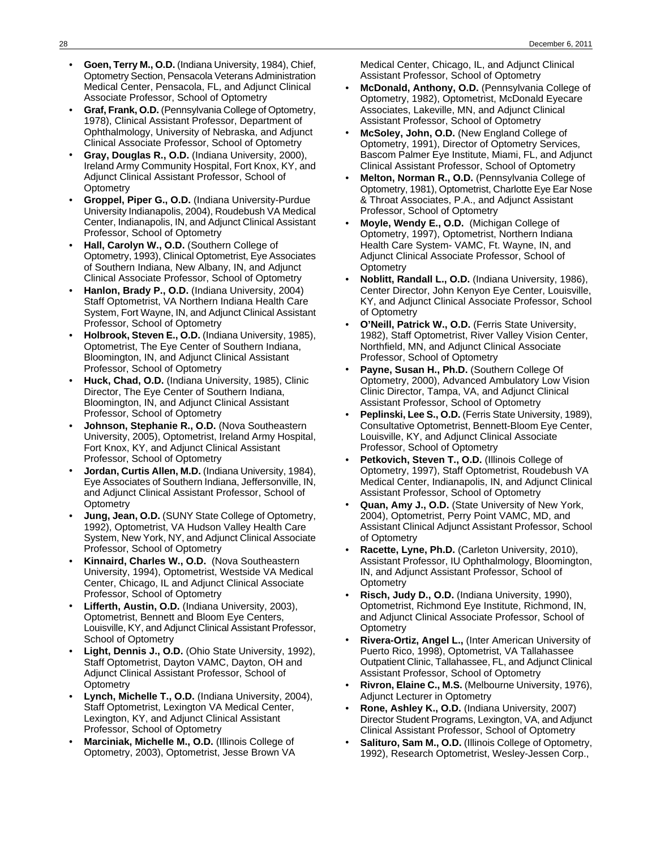- **Goen, Terry M., O.D.** (Indiana University, 1984), Chief, Optometry Section, Pensacola Veterans Administration Medical Center, Pensacola, FL, and Adjunct Clinical Associate Professor, School of Optometry
- **Graf, Frank, O.D.** (Pennsylvania College of Optometry, 1978), Clinical Assistant Professor, Department of Ophthalmology, University of Nebraska, and Adjunct Clinical Associate Professor, School of Optometry
- **Gray, Douglas R., O.D.** (Indiana University, 2000), Ireland Army Community Hospital, Fort Knox, KY, and Adjunct Clinical Assistant Professor, School of **Optometry**
- **Groppel, Piper G., O.D.** (Indiana University-Purdue University Indianapolis, 2004), Roudebush VA Medical Center, Indianapolis, IN, and Adjunct Clinical Assistant Professor, School of Optometry
- **Hall, Carolyn W., O.D.** (Southern College of Optometry, 1993), Clinical Optometrist, Eye Associates of Southern Indiana, New Albany, IN, and Adjunct Clinical Associate Professor, School of Optometry
- **Hanlon, Brady P., O.D.** (Indiana University, 2004) Staff Optometrist, VA Northern Indiana Health Care System, Fort Wayne, IN, and Adjunct Clinical Assistant Professor, School of Optometry
- **Holbrook, Steven E., O.D.** (Indiana University, 1985), Optometrist, The Eye Center of Southern Indiana, Bloomington, IN, and Adjunct Clinical Assistant Professor, School of Optometry
- **Huck, Chad, O.D.** (Indiana University, 1985), Clinic Director, The Eye Center of Southern Indiana, Bloomington, IN, and Adjunct Clinical Assistant Professor, School of Optometry
- **Johnson, Stephanie R., O.D.** (Nova Southeastern University, 2005), Optometrist, Ireland Army Hospital, Fort Knox, KY, and Adjunct Clinical Assistant Professor, School of Optometry
- **Jordan, Curtis Allen, M.D.** (Indiana University, 1984), Eye Associates of Southern Indiana, Jeffersonville, IN, and Adjunct Clinical Assistant Professor, School of **Optometry**
- **Jung, Jean, O.D.** (SUNY State College of Optometry, 1992), Optometrist, VA Hudson Valley Health Care System, New York, NY, and Adjunct Clinical Associate Professor, School of Optometry
- **Kinnaird, Charles W., O.D.** (Nova Southeastern University, 1994), Optometrist, Westside VA Medical Center, Chicago, IL and Adjunct Clinical Associate Professor, School of Optometry
- **Lifferth, Austin, O.D.** (Indiana University, 2003), Optometrist, Bennett and Bloom Eye Centers, Louisville, KY, and Adjunct Clinical Assistant Professor, School of Optometry
- **Light, Dennis J., O.D.** (Ohio State University, 1992), Staff Optometrist, Dayton VAMC, Dayton, OH and Adjunct Clinical Assistant Professor, School of **Optometry**
- **Lynch, Michelle T., O.D.** (Indiana University, 2004), Staff Optometrist, Lexington VA Medical Center, Lexington, KY, and Adjunct Clinical Assistant Professor, School of Optometry
- **Marciniak, Michelle M., O.D.** (Illinois College of Optometry, 2003), Optometrist, Jesse Brown VA

Medical Center, Chicago, IL, and Adjunct Clinical Assistant Professor, School of Optometry

- **McDonald, Anthony, O.D.** (Pennsylvania College of Optometry, 1982), Optometrist, McDonald Eyecare Associates, Lakeville, MN, and Adjunct Clinical Assistant Professor, School of Optometry
- **McSoley, John, O.D.** (New England College of Optometry, 1991), Director of Optometry Services, Bascom Palmer Eye Institute, Miami, FL, and Adjunct Clinical Assistant Professor, School of Optometry
- **Melton, Norman R., O.D.** (Pennsylvania College of Optometry, 1981), Optometrist, Charlotte Eye Ear Nose & Throat Associates, P.A., and Adjunct Assistant Professor, School of Optometry
- **Moyle, Wendy E., O.D.** (Michigan College of Optometry, 1997), Optometrist, Northern Indiana Health Care System- VAMC, Ft. Wayne, IN, and Adjunct Clinical Associate Professor, School of **Optometry**
- **Noblitt, Randall L., O.D.** (Indiana University, 1986), Center Director, John Kenyon Eye Center, Louisville, KY, and Adjunct Clinical Associate Professor, School of Optometry
- **O'Neill, Patrick W., O.D.** (Ferris State University, 1982), Staff Optometrist, River Valley Vision Center, Northfield, MN, and Adjunct Clinical Associate Professor, School of Optometry
- **Payne, Susan H., Ph.D.** (Southern College Of Optometry, 2000), Advanced Ambulatory Low Vision Clinic Director, Tampa, VA, and Adjunct Clinical Assistant Professor, School of Optometry
- **Peplinski, Lee S., O.D.** (Ferris State University, 1989), Consultative Optometrist, Bennett-Bloom Eye Center, Louisville, KY, and Adjunct Clinical Associate Professor, School of Optometry
- Petkovich, Steven T., O.D. (Illinois College of Optometry, 1997), Staff Optometrist, Roudebush VA Medical Center, Indianapolis, IN, and Adjunct Clinical Assistant Professor, School of Optometry
- **Quan, Amy J., O.D.** (State University of New York, 2004), Optometrist, Perry Point VAMC, MD, and Assistant Clinical Adjunct Assistant Professor, School of Optometry
- **Racette, Lyne, Ph.D.** (Carleton University, 2010), Assistant Professor, IU Ophthalmology, Bloomington, IN, and Adjunct Assistant Professor, School of **Optometry**
- **Risch, Judy D., O.D.** (Indiana University, 1990), Optometrist, Richmond Eye Institute, Richmond, IN, and Adjunct Clinical Associate Professor, School of **Optometry**
- **Rivera-Ortiz, Angel L.,** (Inter American University of Puerto Rico, 1998), Optometrist, VA Tallahassee Outpatient Clinic, Tallahassee, FL, and Adjunct Clinical Assistant Professor, School of Optometry
- **Rivron, Elaine C., M.S.** (Melbourne University, 1976), Adjunct Lecturer in Optometry
- **Rone, Ashley K., O.D.** (Indiana University, 2007) Director Student Programs, Lexington, VA, and Adjunct Clinical Assistant Professor, School of Optometry
- **Salituro, Sam M., O.D.** (Illinois College of Optometry, 1992), Research Optometrist, Wesley-Jessen Corp.,